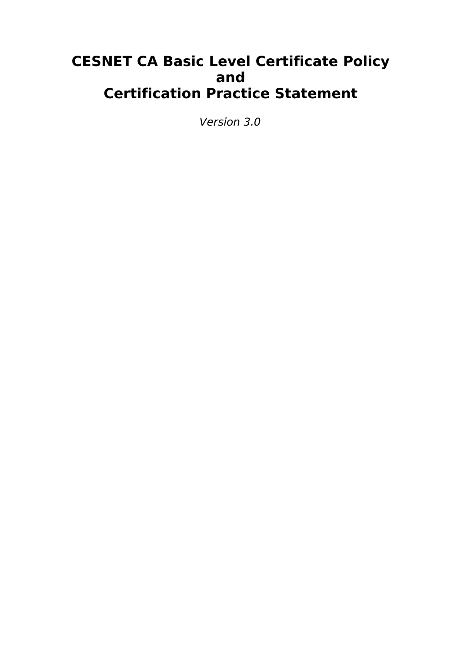# **CESNET CA Basic Level Certificate Policy and Certification Practice Statement**

Version 3.0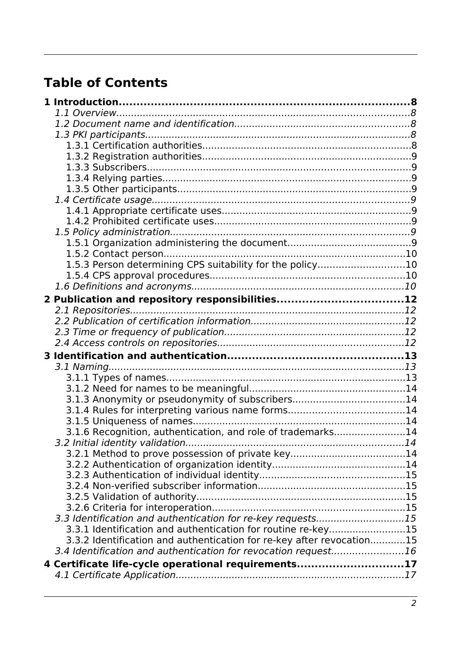# **Table of Contents**

| 1.5.3 Person determining CPS suitability for the policy10             |  |
|-----------------------------------------------------------------------|--|
|                                                                       |  |
|                                                                       |  |
| 2 Publication and repository responsibilities12                       |  |
|                                                                       |  |
|                                                                       |  |
|                                                                       |  |
|                                                                       |  |
|                                                                       |  |
|                                                                       |  |
|                                                                       |  |
|                                                                       |  |
| 3.1.3 Anonymity or pseudonymity of subscribers14                      |  |
|                                                                       |  |
|                                                                       |  |
| 3.1.6 Recognition, authentication, and role of trademarks14           |  |
|                                                                       |  |
|                                                                       |  |
|                                                                       |  |
|                                                                       |  |
|                                                                       |  |
|                                                                       |  |
|                                                                       |  |
| 3.3 Identification and authentication for re-key requests15           |  |
| 3.3.1 Identification and authentication for routine re-key15          |  |
| 3.3.2 Identification and authentication for re-key after revocation15 |  |
| 3.4 Identification and authentication for revocation request16        |  |
| 4 Certificate life-cycle operational requirements17                   |  |
|                                                                       |  |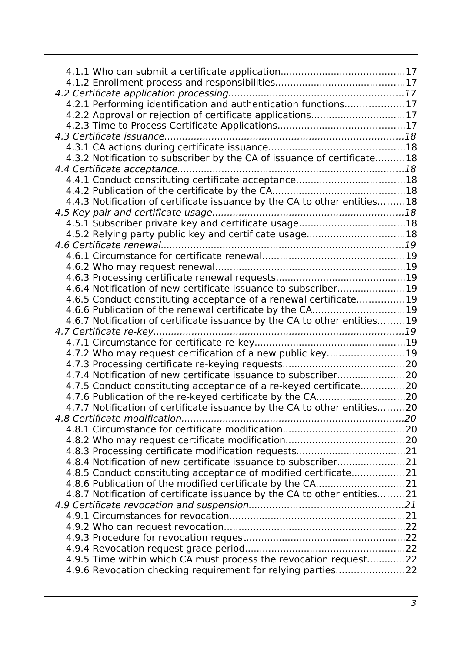| 4.2.1 Performing identification and authentication functions17           |  |
|--------------------------------------------------------------------------|--|
| 4.2.2 Approval or rejection of certificate applications17                |  |
|                                                                          |  |
|                                                                          |  |
|                                                                          |  |
|                                                                          |  |
| 4.3.2 Notification to subscriber by the CA of issuance of certificate18  |  |
|                                                                          |  |
|                                                                          |  |
|                                                                          |  |
| 4.4.3 Notification of certificate issuance by the CA to other entities18 |  |
|                                                                          |  |
| 4.5.1 Subscriber private key and certificate usage18                     |  |
| 4.5.2 Relying party public key and certificate usage18                   |  |
|                                                                          |  |
|                                                                          |  |
|                                                                          |  |
|                                                                          |  |
|                                                                          |  |
| 4.6.4 Notification of new certificate issuance to subscriber19           |  |
| 4.6.5 Conduct constituting acceptance of a renewal certificate19         |  |
| 4.6.6 Publication of the renewal certificate by the CA19                 |  |
| 4.6.7 Notification of certificate issuance by the CA to other entities19 |  |
|                                                                          |  |
|                                                                          |  |
| 4.7.2 Who may request certification of a new public key19                |  |
|                                                                          |  |
|                                                                          |  |
|                                                                          |  |
| 4.7.5 Conduct constituting acceptance of a re-keyed certificate20        |  |
|                                                                          |  |
| 4.7.7 Notification of certificate issuance by the CA to other entities20 |  |
|                                                                          |  |
|                                                                          |  |
|                                                                          |  |
|                                                                          |  |
| 4.8.4 Notification of new certificate issuance to subscriber21           |  |
| 4.8.5 Conduct constituting acceptance of modified certificate21          |  |
|                                                                          |  |
| 4.8.7 Notification of certificate issuance by the CA to other entities21 |  |
|                                                                          |  |
|                                                                          |  |
|                                                                          |  |
|                                                                          |  |
|                                                                          |  |
|                                                                          |  |
| 4.9.5 Time within which CA must process the revocation request22         |  |
| 4.9.6 Revocation checking requirement for relying parties22              |  |
|                                                                          |  |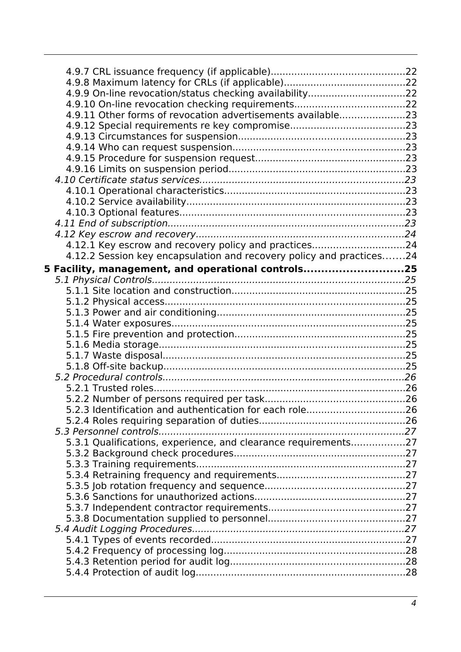| 4.9.9 On-line revocation/status checking availability22              |  |
|----------------------------------------------------------------------|--|
|                                                                      |  |
| 4.9.11 Other forms of revocation advertisements available23          |  |
|                                                                      |  |
|                                                                      |  |
|                                                                      |  |
|                                                                      |  |
|                                                                      |  |
|                                                                      |  |
|                                                                      |  |
|                                                                      |  |
|                                                                      |  |
|                                                                      |  |
|                                                                      |  |
|                                                                      |  |
| 4.12.1 Key escrow and recovery policy and practices24                |  |
| 4.12.2 Session key encapsulation and recovery policy and practices24 |  |
|                                                                      |  |
| 5 Facility, management, and operational controls25                   |  |
|                                                                      |  |
|                                                                      |  |
|                                                                      |  |
|                                                                      |  |
|                                                                      |  |
|                                                                      |  |
|                                                                      |  |
|                                                                      |  |
|                                                                      |  |
|                                                                      |  |
|                                                                      |  |
|                                                                      |  |
| 5.2.3 Identification and authentication for each role26              |  |
|                                                                      |  |
|                                                                      |  |
| 5.3.1 Qualifications, experience, and clearance requirements27       |  |
|                                                                      |  |
|                                                                      |  |
|                                                                      |  |
|                                                                      |  |
|                                                                      |  |
|                                                                      |  |
|                                                                      |  |
|                                                                      |  |
|                                                                      |  |
|                                                                      |  |
|                                                                      |  |
|                                                                      |  |
|                                                                      |  |
|                                                                      |  |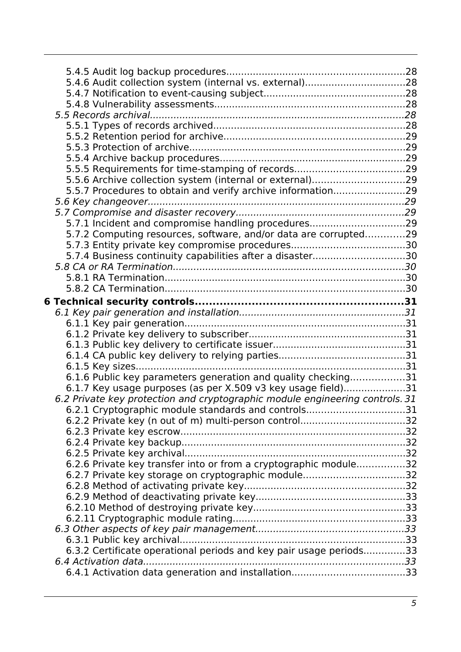| 5.4.6 Audit collection system (internal vs. external)28                      |  |
|------------------------------------------------------------------------------|--|
|                                                                              |  |
|                                                                              |  |
|                                                                              |  |
|                                                                              |  |
|                                                                              |  |
|                                                                              |  |
|                                                                              |  |
|                                                                              |  |
| 5.5.5 Requirements for time-stamping of records29                            |  |
|                                                                              |  |
| 5.5.6 Archive collection system (internal or external)29                     |  |
| 5.5.7 Procedures to obtain and verify archive information29                  |  |
|                                                                              |  |
|                                                                              |  |
| 5.7.1 Incident and compromise handling procedures29                          |  |
| 5.7.2 Computing resources, software, and/or data are corrupted29             |  |
|                                                                              |  |
| 5.7.4 Business continuity capabilities after a disaster30                    |  |
|                                                                              |  |
|                                                                              |  |
|                                                                              |  |
|                                                                              |  |
|                                                                              |  |
|                                                                              |  |
|                                                                              |  |
|                                                                              |  |
|                                                                              |  |
|                                                                              |  |
|                                                                              |  |
| 6.1.6 Public key parameters generation and quality checking31                |  |
|                                                                              |  |
| 6.1.7 Key usage purposes (as per X.509 v3 key usage field)31                 |  |
| 6.2 Private key protection and cryptographic module engineering controls. 31 |  |
| 6.2.1 Cryptographic module standards and controls31                          |  |
|                                                                              |  |
|                                                                              |  |
|                                                                              |  |
|                                                                              |  |
|                                                                              |  |
|                                                                              |  |
| 6.2.6 Private key transfer into or from a cryptographic module32             |  |
| 6.2.7 Private key storage on cryptographic module32                          |  |
|                                                                              |  |
|                                                                              |  |
|                                                                              |  |
|                                                                              |  |
|                                                                              |  |
|                                                                              |  |
|                                                                              |  |
| 6.3.2 Certificate operational periods and key pair usage periods33           |  |
|                                                                              |  |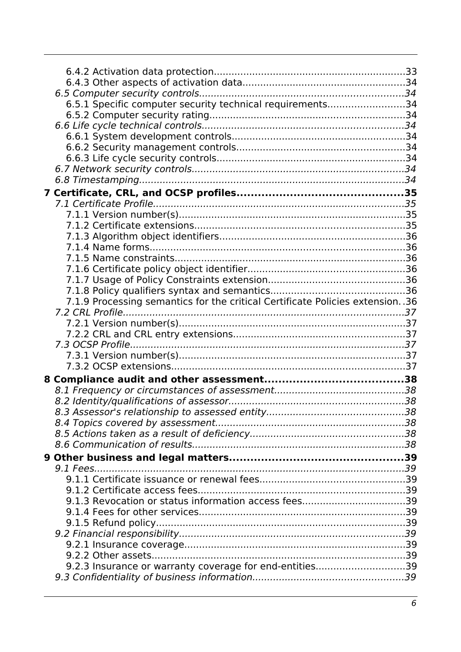| 6.5.1 Specific computer security technical requirements34                        |  |
|----------------------------------------------------------------------------------|--|
|                                                                                  |  |
|                                                                                  |  |
|                                                                                  |  |
|                                                                                  |  |
|                                                                                  |  |
|                                                                                  |  |
|                                                                                  |  |
|                                                                                  |  |
|                                                                                  |  |
|                                                                                  |  |
|                                                                                  |  |
|                                                                                  |  |
|                                                                                  |  |
|                                                                                  |  |
|                                                                                  |  |
|                                                                                  |  |
|                                                                                  |  |
| 7.1.9 Processing semantics for the critical Certificate Policies extension. . 36 |  |
|                                                                                  |  |
|                                                                                  |  |
|                                                                                  |  |
|                                                                                  |  |
|                                                                                  |  |
|                                                                                  |  |
|                                                                                  |  |
|                                                                                  |  |
|                                                                                  |  |
|                                                                                  |  |
|                                                                                  |  |
|                                                                                  |  |
|                                                                                  |  |
|                                                                                  |  |
|                                                                                  |  |
|                                                                                  |  |
|                                                                                  |  |
|                                                                                  |  |
|                                                                                  |  |
|                                                                                  |  |
|                                                                                  |  |
|                                                                                  |  |
|                                                                                  |  |
| 9.2.3 Insurance or warranty coverage for end-entities39                          |  |
|                                                                                  |  |
|                                                                                  |  |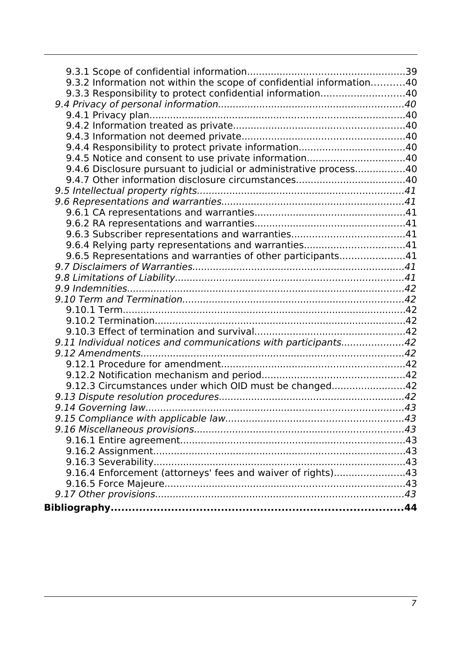| 9.3.2 Information not within the scope of confidential information40 |  |
|----------------------------------------------------------------------|--|
| 9.3.3 Responsibility to protect confidential information40           |  |
|                                                                      |  |
|                                                                      |  |
|                                                                      |  |
|                                                                      |  |
|                                                                      |  |
|                                                                      |  |
| 9.4.6 Disclosure pursuant to judicial or administrative process40    |  |
|                                                                      |  |
|                                                                      |  |
|                                                                      |  |
|                                                                      |  |
|                                                                      |  |
|                                                                      |  |
| 9.6.4 Relying party representations and warranties41                 |  |
| 9.6.5 Representations and warranties of other participants41         |  |
|                                                                      |  |
|                                                                      |  |
|                                                                      |  |
|                                                                      |  |
|                                                                      |  |
|                                                                      |  |
|                                                                      |  |
| 9.11 Individual notices and communications with participants42       |  |
|                                                                      |  |
|                                                                      |  |
|                                                                      |  |
| 9.12.3 Circumstances under which OID must be changed42               |  |
|                                                                      |  |
|                                                                      |  |
|                                                                      |  |
|                                                                      |  |
|                                                                      |  |
|                                                                      |  |
|                                                                      |  |
| 9.16.4 Enforcement (attorneys' fees and waiver of rights)43          |  |
|                                                                      |  |
|                                                                      |  |
|                                                                      |  |
|                                                                      |  |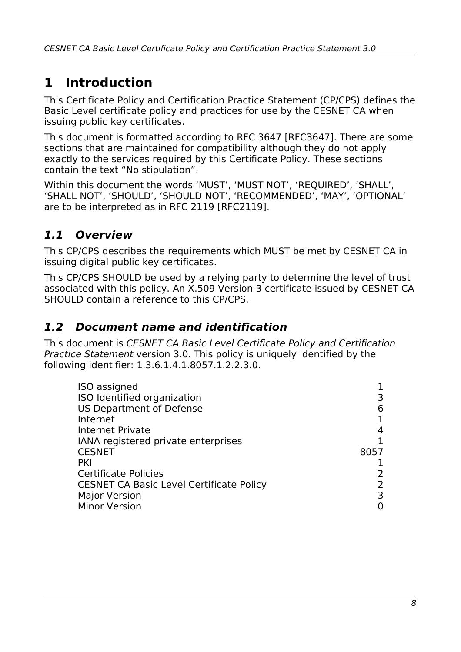# <span id="page-7-2"></span>**1 Introduction**

This Certificate Policy and Certification Practice Statement (CP/CPS) defines the Basic Level certificate policy and practices for use by the CESNET CA when issuing public key certificates.

This document is formatted according to RFC 3647 [RFC3647]. There are some sections that are maintained for compatibility although they do not apply exactly to the services required by this Certificate Policy. These sections contain the text "No stipulation".

Within this document the words 'MUST', 'MUST NOT', 'REQUIRED', 'SHALL', 'SHALL NOT', 'SHOULD', 'SHOULD NOT', 'RECOMMENDED', 'MAY', 'OPTIONAL' are to be interpreted as in RFC 2119 [RFC2119].

### <span id="page-7-1"></span>**1.1 Overview**

This CP/CPS describes the requirements which MUST be met by CESNET CA in issuing digital public key certificates.

This CP/CPS SHOULD be used by a relying party to determine the level of trust associated with this policy. An X.509 Version 3 certificate issued by CESNET CA SHOULD contain a reference to this CP/CPS.

### <span id="page-7-0"></span>**1.2 Document name and identification**

This document is CESNET CA Basic Level Certificate Policy and Certification Practice Statement version 3.0. This policy is uniquely identified by the following identifier: 1.3.6.1.4.1.8057.1.2.2.3.0.

| ISO assigned                                    |      |
|-------------------------------------------------|------|
| ISO Identified organization                     |      |
| <b>US Department of Defense</b>                 | 6    |
| Internet                                        |      |
| Internet Private                                |      |
| IANA registered private enterprises             |      |
| <b>CESNET</b>                                   | 8057 |
| PKI                                             |      |
| <b>Certificate Policies</b>                     |      |
| <b>CESNET CA Basic Level Certificate Policy</b> |      |
| <b>Major Version</b>                            |      |
| <b>Minor Version</b>                            |      |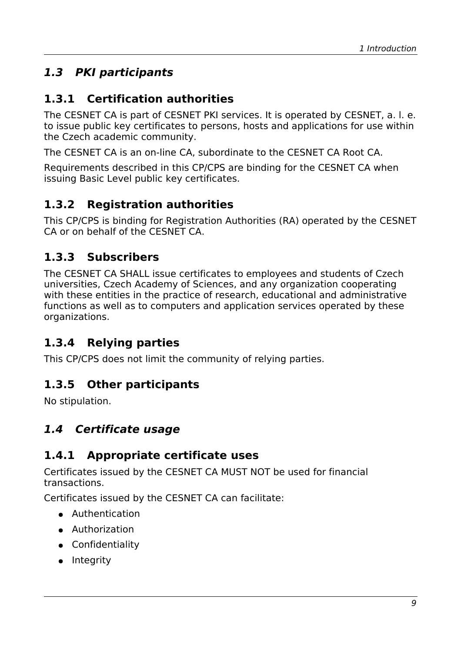## <span id="page-8-7"></span>**1.3 PKI participants**

#### <span id="page-8-6"></span>**1.3.1 Certification authorities**

The CESNET CA is part of CESNET PKI services. It is operated by CESNET, a. l. e. to issue public key certificates to persons, hosts and applications for use within the Czech academic community.

The CESNET CA is an on-line CA, subordinate to the CESNET CA Root CA.

Requirements described in this CP/CPS are binding for the CESNET CA when issuing Basic Level public key certificates.

#### <span id="page-8-5"></span>**1.3.2 Registration authorities**

This CP/CPS is binding for Registration Authorities (RA) operated by the CESNET CA or on behalf of the CESNET CA.

#### <span id="page-8-4"></span>**1.3.3 Subscribers**

The CESNET CA SHALL issue certificates to employees and students of Czech universities, Czech Academy of Sciences, and any organization cooperating with these entities in the practice of research, educational and administrative functions as well as to computers and application services operated by these organizations.

#### <span id="page-8-3"></span>**1.3.4 Relying parties**

This CP/CPS does not limit the community of relying parties.

#### <span id="page-8-2"></span>**1.3.5 Other participants**

No stipulation.

#### <span id="page-8-1"></span>**1.4 Certificate usage**

#### <span id="page-8-0"></span>**1.4.1 Appropriate certificate uses**

Certificates issued by the CESNET CA MUST NOT be used for financial transactions.

Certificates issued by the CESNET CA can facilitate:

- Authentication
- Authorization
- Confidentiality
- Integrity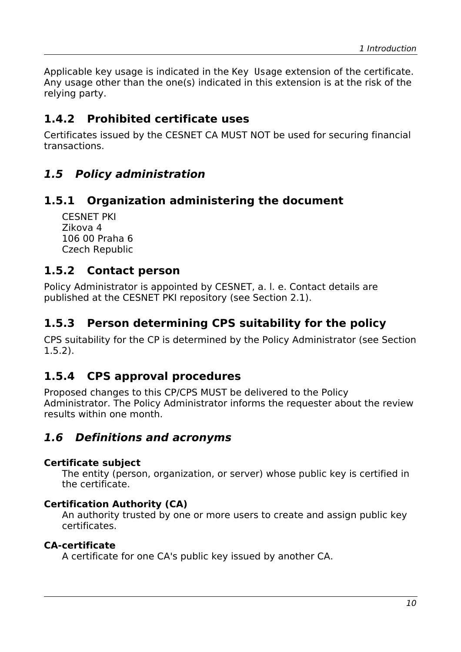Applicable key usage is indicated in the Key Usage extension of the certificate. Any usage other than the one(s) indicated in this extension is at the risk of the relying party.

#### <span id="page-9-6"></span>**1.4.2 Prohibited certificate uses**

Certificates issued by the CESNET CA MUST NOT be used for securing financial transactions.

#### <span id="page-9-5"></span>**1.5 Policy administration**

#### **1.5.1 Organization administering the document**

<span id="page-9-4"></span>CESNET PKI Zikova 4 106 00 Praha 6 Czech Republic

#### <span id="page-9-3"></span>**1.5.2 Contact person**

Policy Administrator is appointed by CESNET, a. l. e. Contact details are published at the CESNET PKI repository (see Section [2.1\)](#page-11-3).

#### <span id="page-9-2"></span>**1.5.3 Person determining CPS suitability for the policy**

CPS suitability for the CP is determined by the Policy Administrator (see Section [1.5.2\)](#page-9-3).

#### <span id="page-9-1"></span>**1.5.4 CPS approval procedures**

Proposed changes to this CP/CPS MUST be delivered to the Policy Administrator. The Policy Administrator informs the requester about the review results within one month.

#### <span id="page-9-0"></span>**1.6 Definitions and acronyms**

#### **Certificate subject**

The entity (person, organization, or server) whose public key is certified in the certificate.

#### **Certification Authority (CA)**

An authority trusted by one or more users to create and assign public key certificates.

#### **CA-certificate**

A certificate for one CA's public key issued by another CA.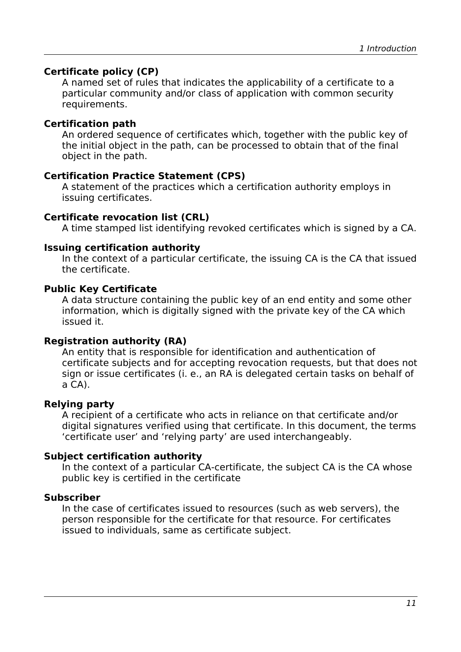#### **Certificate policy (CP)**

A named set of rules that indicates the applicability of a certificate to a particular community and/or class of application with common security requirements.

#### **Certification path**

An ordered sequence of certificates which, together with the public key of the initial object in the path, can be processed to obtain that of the final object in the path.

#### **Certification Practice Statement (CPS)**

A statement of the practices which a certification authority employs in issuing certificates.

#### **Certificate revocation list (CRL)**

A time stamped list identifying revoked certificates which is signed by a CA.

#### **Issuing certification authority**

In the context of a particular certificate, the issuing CA is the CA that issued the certificate.

#### **Public Key Certificate**

A data structure containing the public key of an end entity and some other information, which is digitally signed with the private key of the CA which issued it.

#### **Registration authority (RA)**

An entity that is responsible for identification and authentication of certificate subjects and for accepting revocation requests, but that does not sign or issue certificates (i. e., an RA is delegated certain tasks on behalf of a CA).

#### **Relying party**

A recipient of a certificate who acts in reliance on that certificate and/or digital signatures verified using that certificate. In this document, the terms 'certificate user' and 'relying party' are used interchangeably.

#### **Subject certification authority**

In the context of a particular CA-certificate, the subject CA is the CA whose public key is certified in the certificate

#### **Subscriber**

In the case of certificates issued to resources (such as web servers), the person responsible for the certificate for that resource. For certificates issued to individuals, same as certificate subject.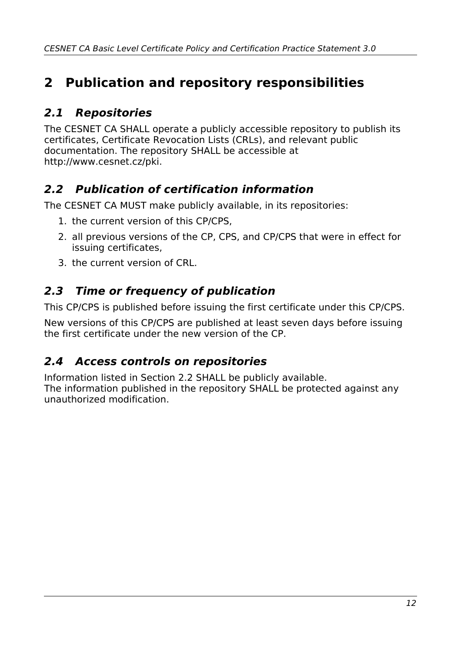# <span id="page-11-4"></span>**2 Publication and repository responsibilities**

## <span id="page-11-3"></span>**2.1 Repositories**

The CESNET CA SHALL operate a publicly accessible repository to publish its certificates, Certificate Revocation Lists (CRLs), and relevant public documentation. The repository SHALL be accessible at http://www.cesnet.cz/pki.

### <span id="page-11-2"></span>**2.2 Publication of certification information**

The CESNET CA MUST make publicly available, in its repositories:

- 1. the current version of this CP/CPS,
- 2. all previous versions of the CP, CPS, and CP/CPS that were in effect for issuing certificates,
- 3. the current version of CRL.

### <span id="page-11-1"></span>**2.3 Time or frequency of publication**

This CP/CPS is published before issuing the first certificate under this CP/CPS.

New versions of this CP/CPS are published at least seven days before issuing the first certificate under the new version of the CP.

### <span id="page-11-0"></span>**2.4 Access controls on repositories**

Information listed in Section [2.2](#page-11-2) SHALL be publicly available. The information published in the repository SHALL be protected against any unauthorized modification.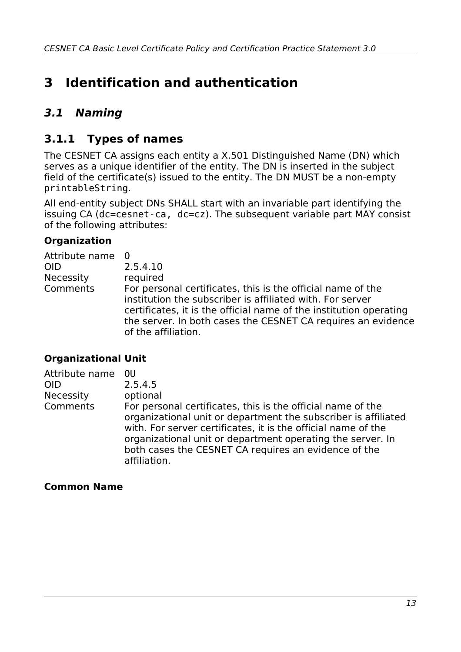# <span id="page-12-2"></span>**3 Identification and authentication**

### <span id="page-12-1"></span>**3.1 Naming**

#### <span id="page-12-0"></span>**3.1.1 Types of names**

The CESNET CA assigns each entity a X.501 Distinguished Name (DN) which serves as a unique identifier of the entity. The DN is inserted in the subject field of the certificate(s) issued to the entity. The DN MUST be a non-empty printableString.

All end-entity subject DNs SHALL start with an invariable part identifying the issuing CA (dc=cesnet-ca, dc=cz). The subsequent variable part MAY consist of the following attributes:

#### **Organization**

| Attribute name 0 |                                                                                                                                                                                                                                                                                       |
|------------------|---------------------------------------------------------------------------------------------------------------------------------------------------------------------------------------------------------------------------------------------------------------------------------------|
| <b>OID</b>       | 2.5.4.10                                                                                                                                                                                                                                                                              |
| Necessity        | required                                                                                                                                                                                                                                                                              |
| Comments         | For personal certificates, this is the official name of the<br>institution the subscriber is affiliated with. For server<br>certificates, it is the official name of the institution operating<br>the server. In both cases the CESNET CA requires an evidence<br>of the affiliation. |

#### **Organizational Unit**

| Attribute name   | 0U                                                                                                                                                                                                                                                                                                                                   |
|------------------|--------------------------------------------------------------------------------------------------------------------------------------------------------------------------------------------------------------------------------------------------------------------------------------------------------------------------------------|
| <b>OID</b>       | 2.5.4.5                                                                                                                                                                                                                                                                                                                              |
| <b>Necessity</b> | optional                                                                                                                                                                                                                                                                                                                             |
| Comments         | For personal certificates, this is the official name of the<br>organizational unit or department the subscriber is affiliated<br>with. For server certificates, it is the official name of the<br>organizational unit or department operating the server. In<br>both cases the CESNET CA requires an evidence of the<br>affiliation. |

#### **Common Name**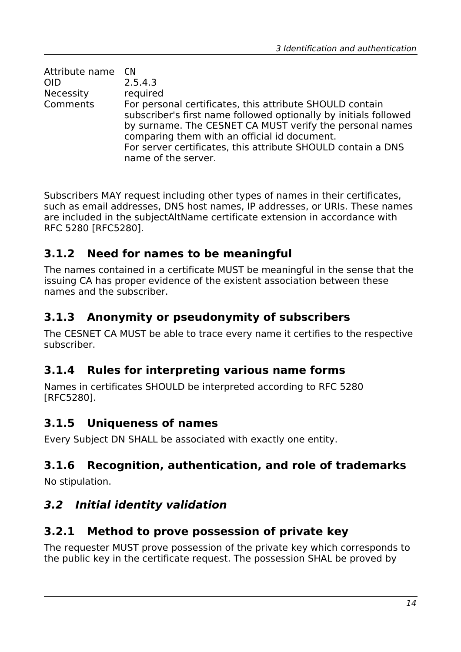| Attribute name CN |                                                                                                                                                                                                                                                                                                                                 |
|-------------------|---------------------------------------------------------------------------------------------------------------------------------------------------------------------------------------------------------------------------------------------------------------------------------------------------------------------------------|
| <b>OID</b>        | 2.5.4.3                                                                                                                                                                                                                                                                                                                         |
| <b>Necessity</b>  | required                                                                                                                                                                                                                                                                                                                        |
| Comments          | For personal certificates, this attribute SHOULD contain<br>subscriber's first name followed optionally by initials followed<br>by surname. The CESNET CA MUST verify the personal names<br>comparing them with an official id document.<br>For server certificates, this attribute SHOULD contain a DNS<br>name of the server. |

Subscribers MAY request including other types of names in their certificates, such as email addresses, DNS host names, IP addresses, or URIs. These names are included in the subjectAltName certificate extension in accordance with RFC 5280 [RFC5280].

#### <span id="page-13-6"></span>**3.1.2 Need for names to be meaningful**

The names contained in a certificate MUST be meaningful in the sense that the issuing CA has proper evidence of the existent association between these names and the subscriber.

#### <span id="page-13-5"></span>**3.1.3 Anonymity or pseudonymity of subscribers**

The CESNET CA MUST be able to trace every name it certifies to the respective subscriber.

#### <span id="page-13-4"></span>**3.1.4 Rules for interpreting various name forms**

Names in certificates SHOULD be interpreted according to RFC 5280 [RFC5280].

#### <span id="page-13-3"></span>**3.1.5 Uniqueness of names**

Every Subject DN SHALL be associated with exactly one entity.

#### <span id="page-13-2"></span>**3.1.6 Recognition, authentication, and role of trademarks**

No stipulation.

#### <span id="page-13-1"></span>**3.2 Initial identity validation**

#### <span id="page-13-0"></span>**3.2.1 Method to prove possession of private key**

The requester MUST prove possession of the private key which corresponds to the public key in the certificate request. The possession SHAL be proved by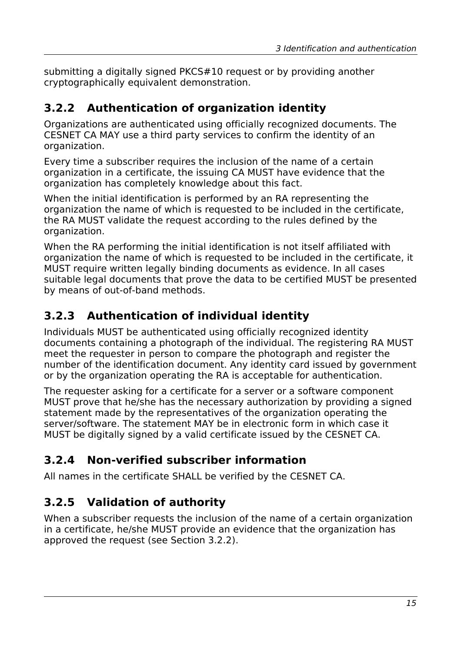submitting a digitally signed PKCS#10 request or by providing another cryptographically equivalent demonstration.

## <span id="page-14-3"></span>**3.2.2 Authentication of organization identity**

Organizations are authenticated using officially recognized documents. The CESNET CA MAY use a third party services to confirm the identity of an organization.

Every time a subscriber requires the inclusion of the name of a certain organization in a certificate, the issuing CA MUST have evidence that the organization has completely knowledge about this fact.

When the initial identification is performed by an RA representing the organization the name of which is requested to be included in the certificate, the RA MUST validate the request according to the rules defined by the organization.

When the RA performing the initial identification is not itself affiliated with organization the name of which is requested to be included in the certificate, it MUST require written legally binding documents as evidence. In all cases suitable legal documents that prove the data to be certified MUST be presented by means of out-of-band methods.

## <span id="page-14-2"></span>**3.2.3 Authentication of individual identity**

Individuals MUST be authenticated using officially recognized identity documents containing a photograph of the individual. The registering RA MUST meet the requester in person to compare the photograph and register the number of the identification document. Any identity card issued by government or by the organization operating the RA is acceptable for authentication.

The requester asking for a certificate for a server or a software component MUST prove that he/she has the necessary authorization by providing a signed statement made by the representatives of the organization operating the server/software. The statement MAY be in electronic form in which case it MUST be digitally signed by a valid certificate issued by the CESNET CA.

## <span id="page-14-1"></span>**3.2.4 Non-verified subscriber information**

All names in the certificate SHALL be verified by the CESNET CA.

## <span id="page-14-0"></span>**3.2.5 Validation of authority**

When a subscriber requests the inclusion of the name of a certain organization in a certificate, he/she MUST provide an evidence that the organization has approved the request (see Section [3.2.2\)](#page-14-3).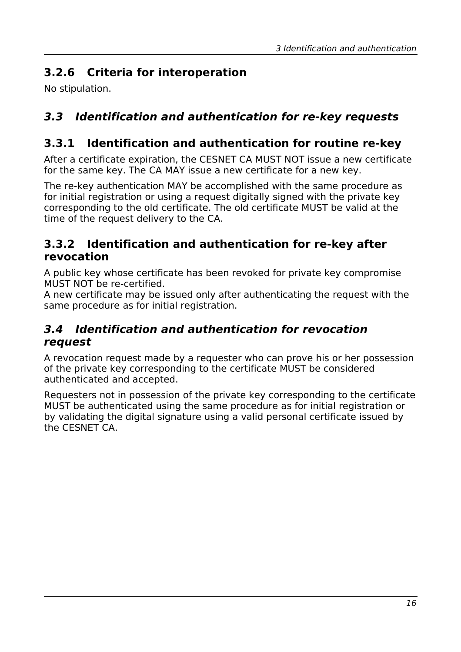## <span id="page-15-4"></span>**3.2.6 Criteria for interoperation**

No stipulation.

## <span id="page-15-3"></span>**3.3 Identification and authentication for re-key requests**

### <span id="page-15-2"></span>**3.3.1 Identification and authentication for routine re-key**

After a certificate expiration, the CESNET CA MUST NOT issue a new certificate for the same key. The CA MAY issue a new certificate for a new key.

The re-key authentication MAY be accomplished with the same procedure as for initial registration or using a request digitally signed with the private key corresponding to the old certificate. The old certificate MUST be valid at the time of the request delivery to the CA.

#### <span id="page-15-1"></span>**3.3.2 Identification and authentication for re-key after revocation**

A public key whose certificate has been revoked for private key compromise MUST NOT be re-certified.

A new certificate may be issued only after authenticating the request with the same procedure as for initial registration.

#### <span id="page-15-0"></span>**3.4 Identification and authentication for revocation request**

A revocation request made by a requester who can prove his or her possession of the private key corresponding to the certificate MUST be considered authenticated and accepted.

Requesters not in possession of the private key corresponding to the certificate MUST be authenticated using the same procedure as for initial registration or by validating the digital signature using a valid personal certificate issued by the CESNET CA.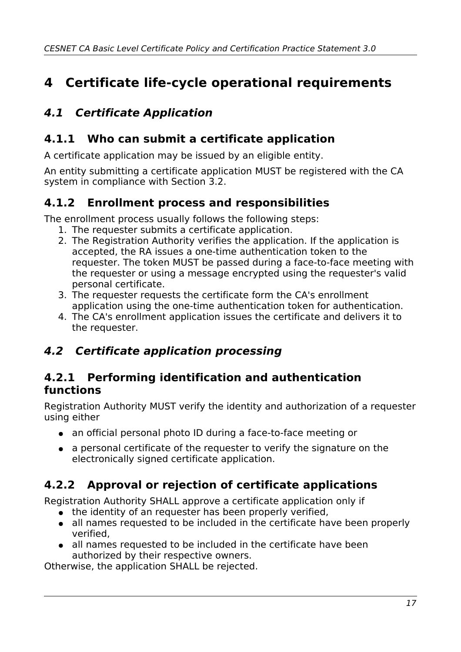# <span id="page-16-1"></span>**4 Certificate life-cycle operational requirements**

## <span id="page-16-0"></span>**4.1 Certificate Application**

#### <span id="page-16-6"></span>**4.1.1 Who can submit a certificate application**

A certificate application may be issued by an eligible entity.

An entity submitting a certificate application MUST be registered with the CA system in compliance with Section [3.2.](#page-13-1)

#### **4.1.2 Enrollment process and responsibilities**

The enrollment process usually follows the following steps:

- <span id="page-16-5"></span>1. The requester submits a certificate application.
- 2. The Registration Authority verifies the application. If the application is accepted, the RA issues a one-time authentication token to the requester. The token MUST be passed during a face-to-face meeting with the requester or using a message encrypted using the requester's valid personal certificate.
- 3. The requester requests the certificate form the CA's enrollment application using the one-time authentication token for authentication.
- 4. The CA's enrollment application issues the certificate and delivers it to the requester.

#### <span id="page-16-4"></span>**4.2 Certificate application processing**

#### <span id="page-16-3"></span>**4.2.1 Performing identification and authentication functions**

Registration Authority MUST verify the identity and authorization of a requester using either

- an official personal photo ID during a face-to-face meeting or
- a personal certificate of the requester to verify the signature on the electronically signed certificate application.

### **4.2.2 Approval or rejection of certificate applications**

Registration Authority SHALL approve a certificate application only if

- <span id="page-16-2"></span>• the identity of an requester has been properly verified,
- all names requested to be included in the certificate have been properly verified,
- all names requested to be included in the certificate have been authorized by their respective owners.

Otherwise, the application SHALL be rejected.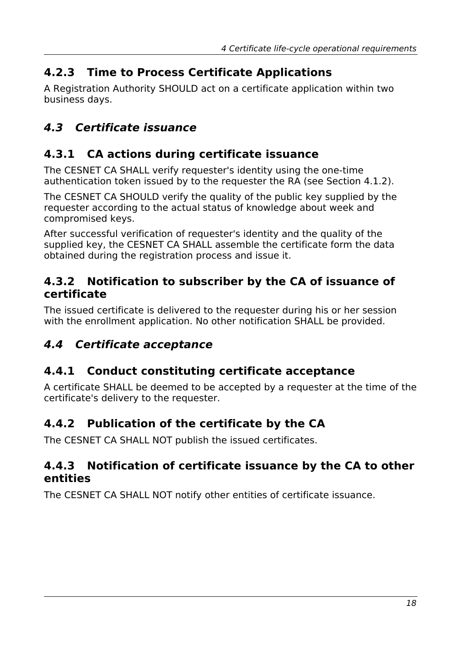## <span id="page-17-7"></span>**4.2.3 Time to Process Certificate Applications**

A Registration Authority SHOULD act on a certificate application within two business days.

## <span id="page-17-6"></span>**4.3 Certificate issuance**

### <span id="page-17-5"></span>**4.3.1 CA actions during certificate issuance**

The CESNET CA SHALL verify requester's identity using the one-time authentication token issued by to the requester the RA (see Section [4.1.2\)](#page-16-5).

The CESNET CA SHOULD verify the quality of the public key supplied by the requester according to the actual status of knowledge about week and compromised keys.

After successful verification of requester's identity and the quality of the supplied key, the CESNET CA SHALL assemble the certificate form the data obtained during the registration process and issue it.

#### <span id="page-17-4"></span>**4.3.2 Notification to subscriber by the CA of issuance of certificate**

The issued certificate is delivered to the requester during his or her session with the enrollment application. No other notification SHALL be provided.

### <span id="page-17-3"></span>**4.4 Certificate acceptance**

### <span id="page-17-2"></span>**4.4.1 Conduct constituting certificate acceptance**

A certificate SHALL be deemed to be accepted by a requester at the time of the certificate's delivery to the requester.

#### <span id="page-17-1"></span>**4.4.2 Publication of the certificate by the CA**

The CESNET CA SHALL NOT publish the issued certificates.

#### <span id="page-17-0"></span>**4.4.3 Notification of certificate issuance by the CA to other entities**

The CESNET CA SHALL NOT notify other entities of certificate issuance.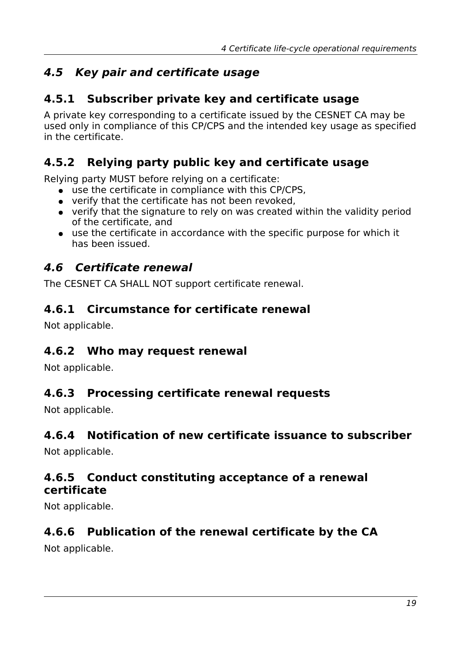## <span id="page-18-9"></span>**4.5 Key pair and certificate usage**

#### <span id="page-18-8"></span>**4.5.1 Subscriber private key and certificate usage**

A private key corresponding to a certificate issued by the CESNET CA may be used only in compliance of this CP/CPS and the intended key usage as specified in the certificate.

#### **4.5.2 Relying party public key and certificate usage**

Relying party MUST before relying on a certificate:

- <span id="page-18-7"></span>● use the certificate in compliance with this CP/CPS,
- verify that the certificate has not been revoked,
- verify that the signature to rely on was created within the validity period of the certificate, and
- use the certificate in accordance with the specific purpose for which it has been issued.

#### <span id="page-18-6"></span>**4.6 Certificate renewal**

The CESNET CA SHALL NOT support certificate renewal.

#### <span id="page-18-5"></span>**4.6.1 Circumstance for certificate renewal**

Not applicable.

#### <span id="page-18-4"></span>**4.6.2 Who may request renewal**

Not applicable.

#### <span id="page-18-3"></span>**4.6.3 Processing certificate renewal requests**

Not applicable.

#### <span id="page-18-2"></span>**4.6.4 Notification of new certificate issuance to subscriber**

Not applicable.

#### <span id="page-18-1"></span>**4.6.5 Conduct constituting acceptance of a renewal certificate**

Not applicable.

#### <span id="page-18-0"></span>**4.6.6 Publication of the renewal certificate by the CA**

Not applicable.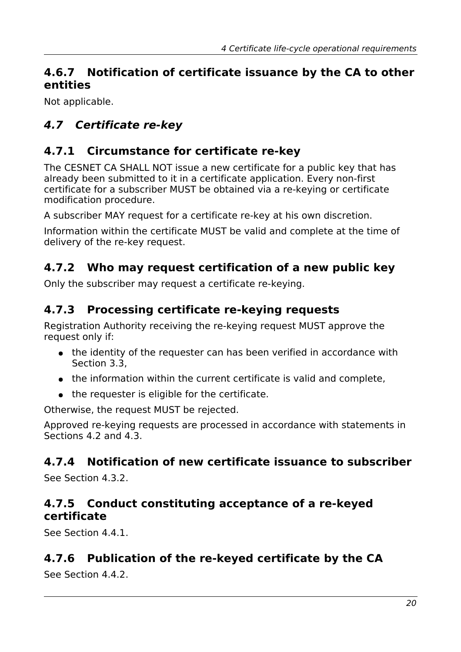#### <span id="page-19-7"></span>**4.6.7 Notification of certificate issuance by the CA to other entities**

Not applicable.

## <span id="page-19-6"></span>**4.7 Certificate re-key**

### <span id="page-19-5"></span>**4.7.1 Circumstance for certificate re-key**

The CESNET CA SHALL NOT issue a new certificate for a public key that has already been submitted to it in a certificate application. Every non-first certificate for a subscriber MUST be obtained via a re-keying or certificate modification procedure.

A subscriber MAY request for a certificate re-key at his own discretion.

Information within the certificate MUST be valid and complete at the time of delivery of the re-key request.

### <span id="page-19-4"></span>**4.7.2 Who may request certification of a new public key**

Only the subscriber may request a certificate re-keying.

#### <span id="page-19-3"></span>**4.7.3 Processing certificate re-keying requests**

Registration Authority receiving the re-keying request MUST approve the request only if:

- the identity of the requester can has been verified in accordance with Section [3.3,](#page-15-3)
- the information within the current certificate is valid and complete,
- the requester is eligible for the certificate.

Otherwise, the request MUST be rejected.

Approved re-keying requests are processed in accordance with statements in Sections [4.2](#page-16-4) and [4.3.](#page-17-6)

### <span id="page-19-2"></span>**4.7.4 Notification of new certificate issuance to subscriber**

See Section [4.3.2.](#page-17-4)

#### <span id="page-19-1"></span>**4.7.5 Conduct constituting acceptance of a re-keyed certificate**

See Section [4.4.1.](#page-17-2)

### <span id="page-19-0"></span>**4.7.6 Publication of the re-keyed certificate by the CA**

See Section [4.4.2.](#page-17-1)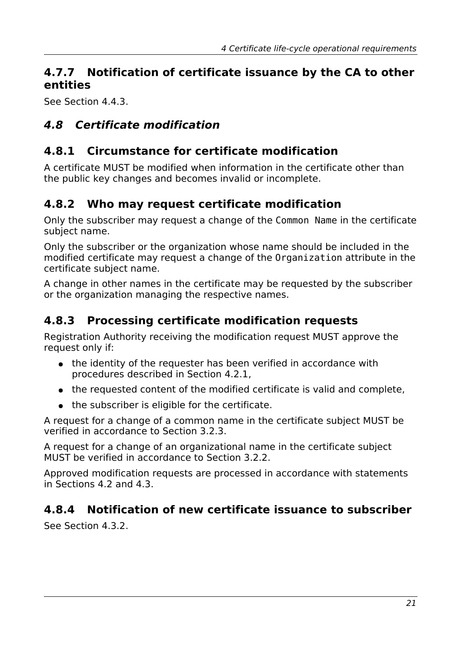#### <span id="page-20-5"></span>**4.7.7 Notification of certificate issuance by the CA to other entities**

See Section [4.4.3.](#page-17-0)

### <span id="page-20-4"></span>**4.8 Certificate modification**

#### <span id="page-20-3"></span>**4.8.1 Circumstance for certificate modification**

A certificate MUST be modified when information in the certificate other than the public key changes and becomes invalid or incomplete.

### <span id="page-20-2"></span>**4.8.2 Who may request certificate modification**

Only the subscriber may request a change of the Common Name in the certificate subject name.

Only the subscriber or the organization whose name should be included in the modified certificate may request a change of the Organization attribute in the certificate subject name.

A change in other names in the certificate may be requested by the subscriber or the organization managing the respective names.

### <span id="page-20-1"></span>**4.8.3 Processing certificate modification requests**

Registration Authority receiving the modification request MUST approve the request only if:

- the identity of the requester has been verified in accordance with procedures described in Section [4.2.1,](#page-16-3)
- the requested content of the modified certificate is valid and complete,
- the subscriber is eligible for the certificate.

A request for a change of a common name in the certificate subject MUST be verified in accordance to Section [3.2.3.](#page-14-2)

A request for a change of an organizational name in the certificate subject MUST be verified in accordance to Section [3.2.2.](#page-14-3)

Approved modification requests are processed in accordance with statements in Sections [4.2](#page-16-4) and [4.3.](#page-17-6)

#### <span id="page-20-0"></span>**4.8.4 Notification of new certificate issuance to subscriber**

See Section [4.3.2.](#page-17-4)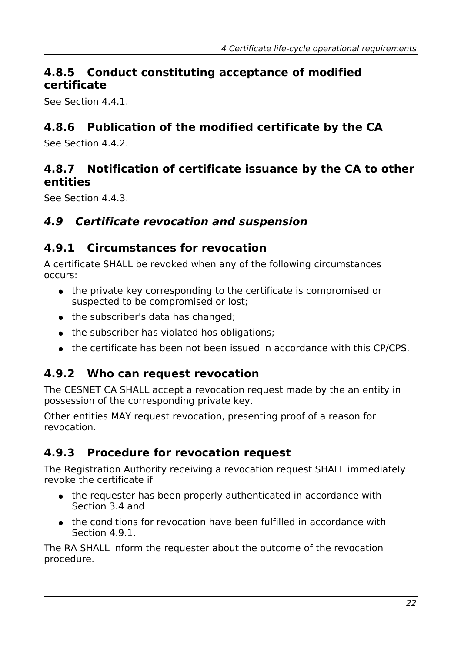#### <span id="page-21-6"></span>**4.8.5 Conduct constituting acceptance of modified certificate**

See Section [4.4.1.](#page-17-2)

### <span id="page-21-5"></span>**4.8.6 Publication of the modified certificate by the CA**

See Section [4.4.2.](#page-17-1)

#### <span id="page-21-4"></span>**4.8.7 Notification of certificate issuance by the CA to other entities**

See Section [4.4.3.](#page-17-0)

#### <span id="page-21-3"></span>**4.9 Certificate revocation and suspension**

#### <span id="page-21-2"></span>**4.9.1 Circumstances for revocation**

A certificate SHALL be revoked when any of the following circumstances occurs:

- the private key corresponding to the certificate is compromised or suspected to be compromised or lost;
- the subscriber's data has changed;
- the subscriber has violated hos obligations:
- <span id="page-21-1"></span>● the certificate has been not been issued in accordance with this CP/CPS.

#### **4.9.2 Who can request revocation**

The CESNET CA SHALL accept a revocation request made by the an entity in possession of the corresponding private key.

Other entities MAY request revocation, presenting proof of a reason for revocation.

### <span id="page-21-0"></span>**4.9.3 Procedure for revocation request**

The Registration Authority receiving a revocation request SHALL immediately revoke the certificate if

- the requester has been properly authenticated in accordance with Section [3.4](#page-15-0) and
- the conditions for revocation have been fulfilled in accordance with Section [4.9.1.](#page-21-2)

The RA SHALL inform the requester about the outcome of the revocation procedure.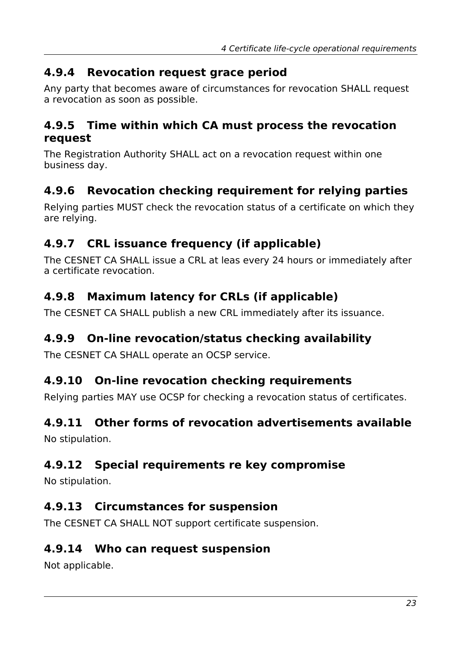#### <span id="page-22-2"></span>**4.9.4 Revocation request grace period**

Any party that becomes aware of circumstances for revocation SHALL request a revocation as soon as possible.

#### <span id="page-22-1"></span>**4.9.5 Time within which CA must process the revocation request**

The Registration Authority SHALL act on a revocation request within one business day.

### <span id="page-22-0"></span>**4.9.6 Revocation checking requirement for relying parties**

Relying parties MUST check the revocation status of a certificate on which they are relying.

### <span id="page-22-10"></span>**4.9.7 CRL issuance frequency (if applicable)**

The CESNET CA SHALL issue a CRL at leas every 24 hours or immediately after a certificate revocation.

### <span id="page-22-9"></span>**4.9.8 Maximum latency for CRLs (if applicable)**

The CESNET CA SHALL publish a new CRL immediately after its issuance.

#### <span id="page-22-8"></span>**4.9.9 On-line revocation/status checking availability**

The CESNET CA SHALL operate an OCSP service.

#### <span id="page-22-7"></span>**4.9.10 On-line revocation checking requirements**

Relying parties MAY use OCSP for checking a revocation status of certificates.

#### <span id="page-22-6"></span>**4.9.11 Other forms of revocation advertisements available**

No stipulation.

#### <span id="page-22-5"></span>**4.9.12 Special requirements re key compromise**

No stipulation.

#### <span id="page-22-4"></span>**4.9.13 Circumstances for suspension**

The CESNET CA SHALL NOT support certificate suspension.

#### <span id="page-22-3"></span>**4.9.14 Who can request suspension**

Not applicable.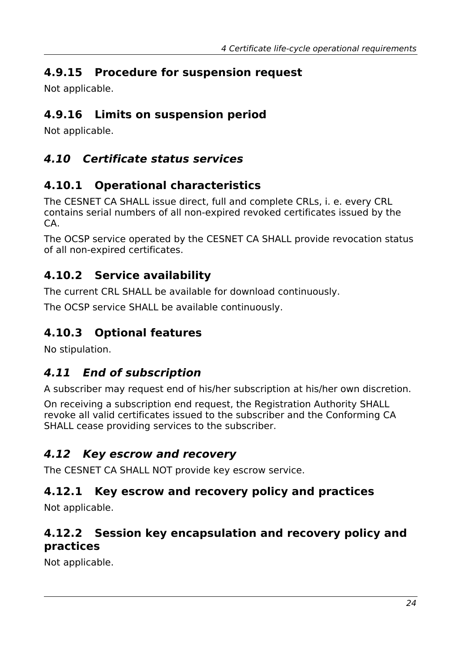## <span id="page-23-9"></span>**4.9.15 Procedure for suspension request**

Not applicable.

### <span id="page-23-8"></span>**4.9.16 Limits on suspension period**

Not applicable.

## <span id="page-23-7"></span>**4.10 Certificate status services**

### <span id="page-23-6"></span>**4.10.1 Operational characteristics**

The CESNET CA SHALL issue direct, full and complete CRLs, i. e. every CRL contains serial numbers of all non-expired revoked certificates issued by the CA.

The OCSP service operated by the CESNET CA SHALL provide revocation status of all non-expired certificates.

## <span id="page-23-5"></span>**4.10.2 Service availability**

The current CRL SHALL be available for download continuously.

The OCSP service SHALL be available continuously.

## <span id="page-23-4"></span>**4.10.3 Optional features**

No stipulation.

## <span id="page-23-3"></span>**4.11 End of subscription**

A subscriber may request end of his/her subscription at his/her own discretion.

On receiving a subscription end request, the Registration Authority SHALL revoke all valid certificates issued to the subscriber and the Conforming CA SHALL cease providing services to the subscriber.

### <span id="page-23-2"></span>**4.12 Key escrow and recovery**

The CESNET CA SHALL NOT provide key escrow service.

### <span id="page-23-1"></span>**4.12.1 Key escrow and recovery policy and practices**

Not applicable.

#### <span id="page-23-0"></span>**4.12.2 Session key encapsulation and recovery policy and practices**

Not applicable.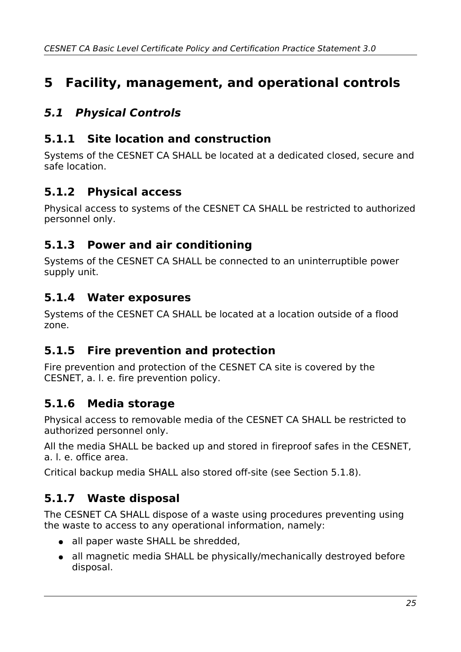# <span id="page-24-8"></span>**5 Facility, management, and operational controls**

## <span id="page-24-7"></span>**5.1 Physical Controls**

#### <span id="page-24-6"></span>**5.1.1 Site location and construction**

Systems of the CESNET CA SHALL be located at a dedicated closed, secure and safe location.

### <span id="page-24-5"></span>**5.1.2 Physical access**

Physical access to systems of the CESNET CA SHALL be restricted to authorized personnel only.

#### <span id="page-24-4"></span>**5.1.3 Power and air conditioning**

Systems of the CESNET CA SHALL be connected to an uninterruptible power supply unit.

#### <span id="page-24-3"></span>**5.1.4 Water exposures**

Systems of the CESNET CA SHALL be located at a location outside of a flood zone.

#### <span id="page-24-2"></span>**5.1.5 Fire prevention and protection**

Fire prevention and protection of the CESNET CA site is covered by the CESNET, a. l. e. fire prevention policy.

#### <span id="page-24-1"></span>**5.1.6 Media storage**

Physical access to removable media of the CESNET CA SHALL be restricted to authorized personnel only.

All the media SHALL be backed up and stored in fireproof safes in the CESNET, a. l. e. office area.

Critical backup media SHALL also stored off-site (see Section [5.1.8\)](#page-25-4).

### <span id="page-24-0"></span>**5.1.7 Waste disposal**

The CESNET CA SHALL dispose of a waste using procedures preventing using the waste to access to any operational information, namely:

- all paper waste SHALL be shredded.
- all magnetic media SHALL be physically/mechanically destroyed before disposal.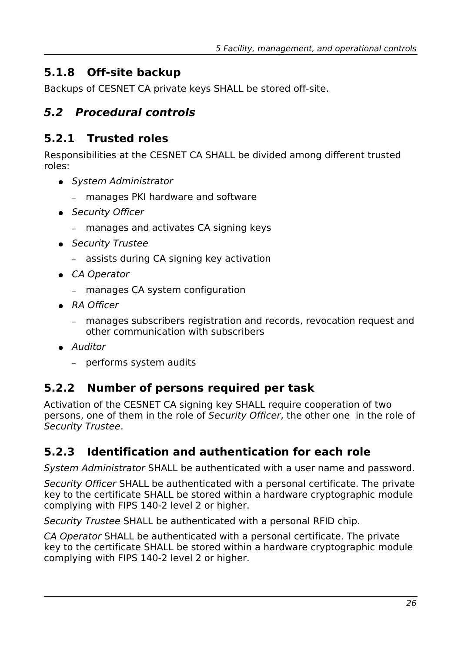### <span id="page-25-4"></span>**5.1.8 Off-site backup**

Backups of CESNET CA private keys SHALL be stored off-site.

#### <span id="page-25-3"></span>**5.2 Procedural controls**

#### <span id="page-25-2"></span>**5.2.1 Trusted roles**

Responsibilities at the CESNET CA SHALL be divided among different trusted roles:

- System Administrator
	- manages PKI hardware and software
- Security Officer
	- manages and activates CA signing keys
- Security Trustee
	- assists during CA signing key activation
- CA Operator
	- manages CA system configuration
- RA Officer
	- manages subscribers registration and records, revocation request and other communication with subscribers
- Auditor
	- performs system audits

### <span id="page-25-1"></span>**5.2.2 Number of persons required per task**

Activation of the CESNET CA signing key SHALL require cooperation of two persons, one of them in the role of Security Officer, the other one in the role of Security Trustee.

### <span id="page-25-0"></span>**5.2.3 Identification and authentication for each role**

System Administrator SHALL be authenticated with a user name and password.

Security Officer SHALL be authenticated with a personal certificate. The private key to the certificate SHALL be stored within a hardware cryptographic module complying with FIPS 140-2 level 2 or higher.

Security Trustee SHALL be authenticated with a personal RFID chip.

CA Operator SHALL be authenticated with a personal certificate. The private key to the certificate SHALL be stored within a hardware cryptographic module complying with FIPS 140-2 level 2 or higher.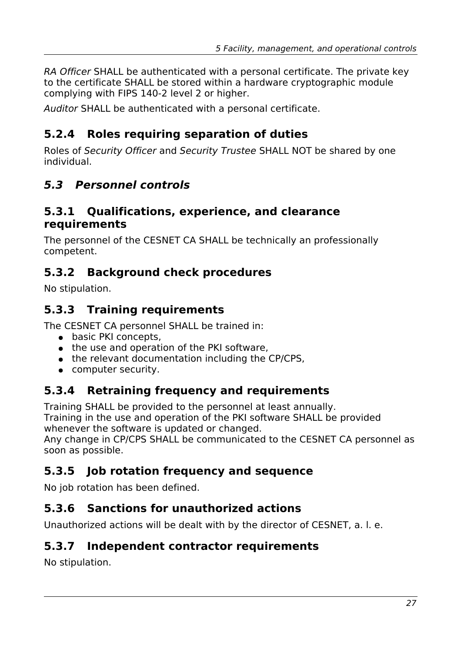RA Officer SHALL be authenticated with a personal certificate. The private key to the certificate SHALL be stored within a hardware cryptographic module complying with FIPS 140-2 level 2 or higher.

Auditor SHALL be authenticated with a personal certificate.

### <span id="page-26-8"></span>**5.2.4 Roles requiring separation of duties**

Roles of Security Officer and Security Trustee SHALL NOT be shared by one individual.

### <span id="page-26-7"></span>**5.3 Personnel controls**

#### <span id="page-26-6"></span>**5.3.1 Qualifications, experience, and clearance requirements**

The personnel of the CESNET CA SHALL be technically an professionally competent.

### <span id="page-26-5"></span>**5.3.2 Background check procedures**

No stipulation.

### **5.3.3 Training requirements**

The CESNET CA personnel SHALL be trained in:

- <span id="page-26-4"></span>● basic PKI concepts,
- the use and operation of the PKI software,
- the relevant documentation including the CP/CPS,
- <span id="page-26-3"></span>● computer security.

### **5.3.4 Retraining frequency and requirements**

Training SHALL be provided to the personnel at least annually.

Training in the use and operation of the PKI software SHALL be provided whenever the software is updated or changed.

Any change in CP/CPS SHALL be communicated to the CESNET CA personnel as soon as possible.

### <span id="page-26-2"></span>**5.3.5 Job rotation frequency and sequence**

No job rotation has been defined.

#### <span id="page-26-1"></span>**5.3.6 Sanctions for unauthorized actions**

Unauthorized actions will be dealt with by the director of CESNET, a. l. e.

#### <span id="page-26-0"></span>**5.3.7 Independent contractor requirements**

No stipulation.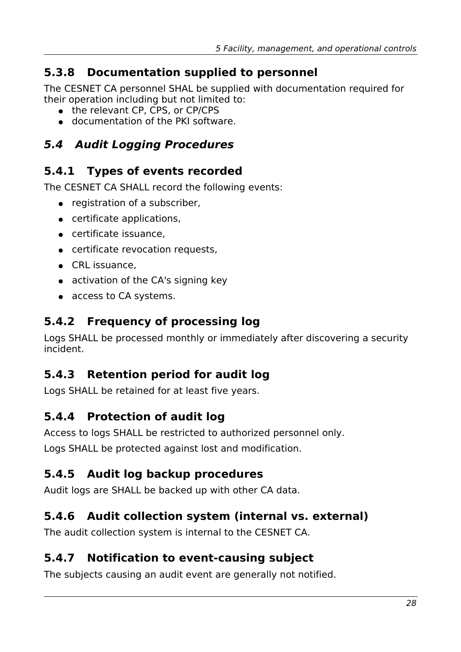## <span id="page-27-5"></span>**5.3.8 Documentation supplied to personnel**

The CESNET CA personnel SHAL be supplied with documentation required for their operation including but not limited to:

- the relevant CP, CPS, or CP/CPS
- <span id="page-27-4"></span>● documentation of the PKI software.

## **5.4 Audit Logging Procedures**

## <span id="page-27-3"></span>**5.4.1 Types of events recorded**

The CESNET CA SHALL record the following events:

- registration of a subscriber.
- certificate applications,
- certificate issuance,
- certificate revocation requests,
- CRL issuance.
- activation of the CA's signing key
- <span id="page-27-2"></span>● access to CA systems.

### **5.4.2 Frequency of processing log**

Logs SHALL be processed monthly or immediately after discovering a security incident.

### <span id="page-27-1"></span>**5.4.3 Retention period for audit log**

Logs SHALL be retained for at least five years.

#### <span id="page-27-0"></span>**5.4.4 Protection of audit log**

Access to logs SHALL be restricted to authorized personnel only. Logs SHALL be protected against lost and modification.

### <span id="page-27-8"></span>**5.4.5 Audit log backup procedures**

Audit logs are SHALL be backed up with other CA data.

### <span id="page-27-7"></span>**5.4.6 Audit collection system (internal vs. external)**

The audit collection system is internal to the CESNET CA.

### <span id="page-27-6"></span>**5.4.7 Notification to event-causing subject**

The subjects causing an audit event are generally not notified.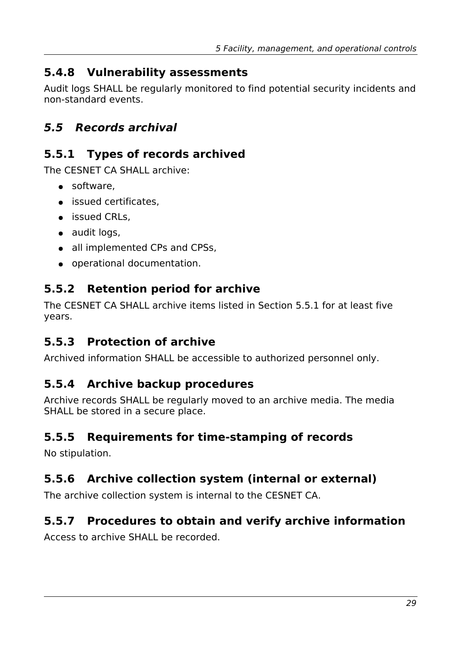### <span id="page-28-8"></span>**5.4.8 Vulnerability assessments**

Audit logs SHALL be regularly monitored to find potential security incidents and non-standard events.

## <span id="page-28-7"></span>**5.5 Records archival**

### <span id="page-28-6"></span>**5.5.1 Types of records archived**

The CESNET CA SHALL archive:

- software,
- issued certificates,
- issued CRLs.
- audit logs,
- all implemented CPs and CPSs,
- <span id="page-28-5"></span>● operational documentation.

### **5.5.2 Retention period for archive**

The CESNET CA SHALL archive items listed in Section [5.5.1](#page-28-6) for at least five years.

## <span id="page-28-4"></span>**5.5.3 Protection of archive**

Archived information SHALL be accessible to authorized personnel only.

### <span id="page-28-3"></span>**5.5.4 Archive backup procedures**

Archive records SHALL be regularly moved to an archive media. The media SHALL be stored in a secure place.

#### <span id="page-28-2"></span>**5.5.5 Requirements for time-stamping of records**

No stipulation.

## <span id="page-28-1"></span>**5.5.6 Archive collection system (internal or external)**

The archive collection system is internal to the CESNET CA.

### <span id="page-28-0"></span>**5.5.7 Procedures to obtain and verify archive information**

Access to archive SHALL be recorded.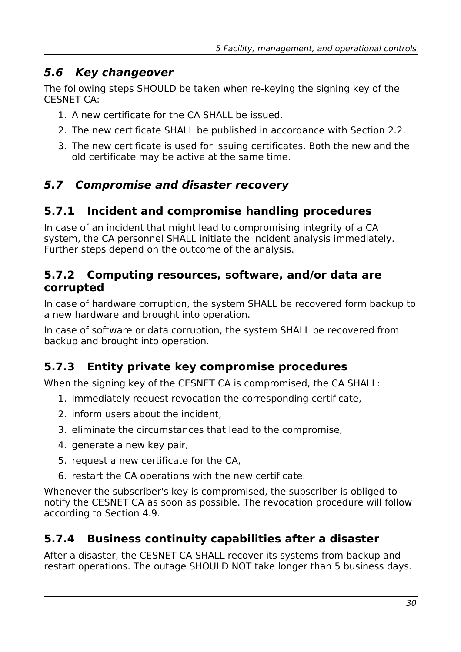#### <span id="page-29-5"></span>**5.6 Key changeover**

The following steps SHOULD be taken when re-keying the signing key of the CESNET CA:

- 1. A new certificate for the CA SHALL be issued.
- 2. The new certificate SHALL be published in accordance with Section [2.2.](#page-11-2)
- 3. The new certificate is used for issuing certificates. Both the new and the old certificate may be active at the same time.

## <span id="page-29-4"></span>**5.7 Compromise and disaster recovery**

### <span id="page-29-3"></span>**5.7.1 Incident and compromise handling procedures**

In case of an incident that might lead to compromising integrity of a CA system, the CA personnel SHALL initiate the incident analysis immediately. Further steps depend on the outcome of the analysis.

#### <span id="page-29-2"></span>**5.7.2 Computing resources, software, and/or data are corrupted**

In case of hardware corruption, the system SHALL be recovered form backup to a new hardware and brought into operation.

In case of software or data corruption, the system SHALL be recovered from backup and brought into operation.

### <span id="page-29-1"></span>**5.7.3 Entity private key compromise procedures**

When the signing key of the CESNET CA is compromised, the CA SHALL:

- 1. immediately request revocation the corresponding certificate,
- 2. inform users about the incident,
- 3. eliminate the circumstances that lead to the compromise,
- 4. generate a new key pair,
- 5. request a new certificate for the CA,
- 6. restart the CA operations with the new certificate.

Whenever the subscriber's key is compromised, the subscriber is obliged to notify the CESNET CA as soon as possible. The revocation procedure will follow according to Section [4.9.](#page-21-3)

### <span id="page-29-0"></span>**5.7.4 Business continuity capabilities after a disaster**

After a disaster, the CESNET CA SHALL recover its systems from backup and restart operations. The outage SHOULD NOT take longer than 5 business days.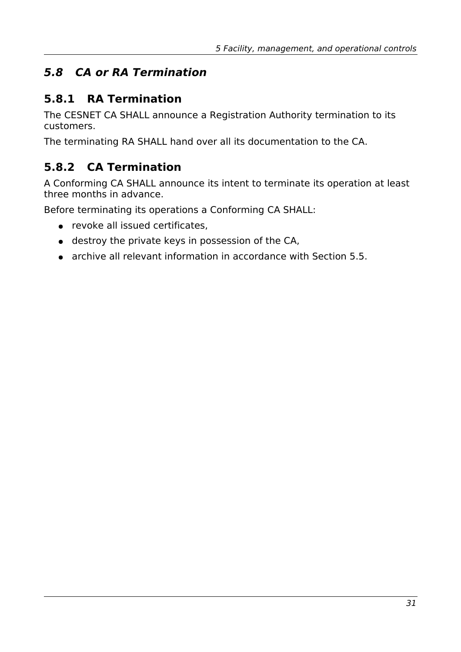## <span id="page-30-2"></span>**5.8 CA or RA Termination**

### <span id="page-30-1"></span>**5.8.1 RA Termination**

The CESNET CA SHALL announce a Registration Authority termination to its customers.

The terminating RA SHALL hand over all its documentation to the CA.

## <span id="page-30-0"></span>**5.8.2 CA Termination**

A Conforming CA SHALL announce its intent to terminate its operation at least three months in advance.

Before terminating its operations a Conforming CA SHALL:

- revoke all issued certificates,
- destroy the private keys in possession of the CA,
- archive all relevant information in accordance with Section [5.5.](#page-28-7)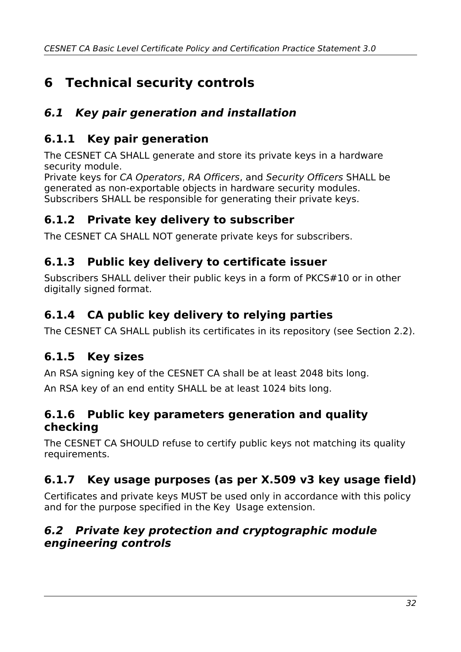# <span id="page-31-9"></span>**6 Technical security controls**

## <span id="page-31-8"></span>**6.1 Key pair generation and installation**

## <span id="page-31-7"></span>**6.1.1 Key pair generation**

The CESNET CA SHALL generate and store its private keys in a hardware security module.

Private keys for CA Operators, RA Officers, and Security Officers SHALL be generated as non-exportable objects in hardware security modules. Subscribers SHALL be responsible for generating their private keys.

### <span id="page-31-6"></span>**6.1.2 Private key delivery to subscriber**

The CESNET CA SHALL NOT generate private keys for subscribers.

### <span id="page-31-5"></span>**6.1.3 Public key delivery to certificate issuer**

Subscribers SHALL deliver their public keys in a form of PKCS#10 or in other digitally signed format.

### <span id="page-31-4"></span>**6.1.4 CA public key delivery to relying parties**

The CESNET CA SHALL publish its certificates in its repository (see Section [2.2\)](#page-11-2).

## <span id="page-31-3"></span>**6.1.5 Key sizes**

An RSA signing key of the CESNET CA shall be at least 2048 bits long.

An RSA key of an end entity SHALL be at least 1024 bits long.

#### <span id="page-31-2"></span>**6.1.6 Public key parameters generation and quality checking**

The CESNET CA SHOULD refuse to certify public keys not matching its quality requirements.

## <span id="page-31-1"></span>**6.1.7 Key usage purposes (as per X.509 v3 key usage field)**

Certificates and private keys MUST be used only in accordance with this policy and for the purpose specified in the Key Usage extension.

#### <span id="page-31-0"></span>**6.2 Private key protection and cryptographic module engineering controls**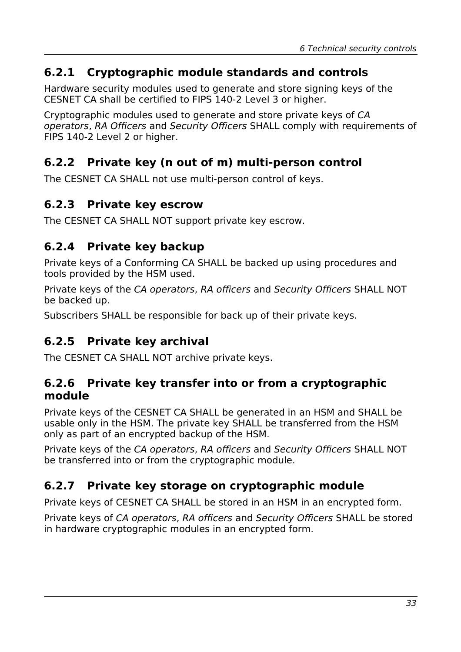#### <span id="page-32-6"></span>**6.2.1 Cryptographic module standards and controls**

Hardware security modules used to generate and store signing keys of the CESNET CA shall be certified to FIPS 140-2 Level 3 or higher.

Cryptographic modules used to generate and store private keys of CA operators, RA Officers and Security Officers SHALL comply with requirements of FIPS 140-2 Level 2 or higher.

#### <span id="page-32-5"></span>**6.2.2 Private key (n out of m) multi-person control**

The CESNET CA SHALL not use multi-person control of keys.

#### <span id="page-32-4"></span>**6.2.3 Private key escrow**

The CESNET CA SHALL NOT support private key escrow.

#### <span id="page-32-3"></span>**6.2.4 Private key backup**

Private keys of a Conforming CA SHALL be backed up using procedures and tools provided by the HSM used.

Private keys of the CA operators, RA officers and Security Officers SHALL NOT be backed up.

Subscribers SHALL be responsible for back up of their private keys.

### <span id="page-32-2"></span>**6.2.5 Private key archival**

The CESNET CA SHALL NOT archive private keys.

#### <span id="page-32-1"></span>**6.2.6 Private key transfer into or from a cryptographic module**

Private keys of the CESNET CA SHALL be generated in an HSM and SHALL be usable only in the HSM. The private key SHALL be transferred from the HSM only as part of an encrypted backup of the HSM.

Private keys of the CA operators, RA officers and Security Officers SHALL NOT be transferred into or from the cryptographic module.

#### <span id="page-32-0"></span>**6.2.7 Private key storage on cryptographic module**

Private keys of CESNET CA SHALL be stored in an HSM in an encrypted form.

Private keys of CA operators, RA officers and Security Officers SHALL be stored in hardware cryptographic modules in an encrypted form.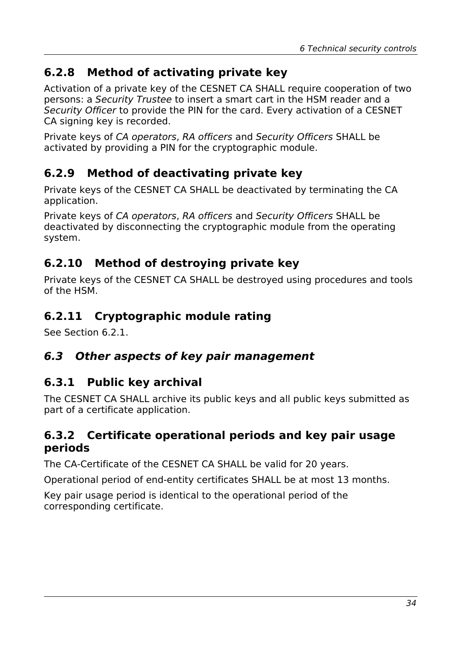### <span id="page-33-6"></span>**6.2.8 Method of activating private key**

Activation of a private key of the CESNET CA SHALL require cooperation of two persons: a Security Trustee to insert a smart cart in the HSM reader and a Security Officer to provide the PIN for the card. Every activation of a CESNET CA signing key is recorded.

Private keys of CA operators, RA officers and Security Officers SHALL be activated by providing a PIN for the cryptographic module.

### <span id="page-33-5"></span>**6.2.9 Method of deactivating private key**

Private keys of the CESNET CA SHALL be deactivated by terminating the CA application.

Private keys of CA operators, RA officers and Security Officers SHALL be deactivated by disconnecting the cryptographic module from the operating system.

### <span id="page-33-4"></span>**6.2.10 Method of destroying private key**

Private keys of the CESNET CA SHALL be destroyed using procedures and tools of the HSM.

### <span id="page-33-3"></span>**6.2.11 Cryptographic module rating**

See Section [6.2.1.](#page-32-6)

#### <span id="page-33-2"></span>**6.3 Other aspects of key pair management**

#### <span id="page-33-1"></span>**6.3.1 Public key archival**

The CESNET CA SHALL archive its public keys and all public keys submitted as part of a certificate application.

#### <span id="page-33-0"></span>**6.3.2 Certificate operational periods and key pair usage periods**

The CA-Certificate of the CESNET CA SHALL be valid for 20 years.

Operational period of end-entity certificates SHALL be at most 13 months.

Key pair usage period is identical to the operational period of the corresponding certificate.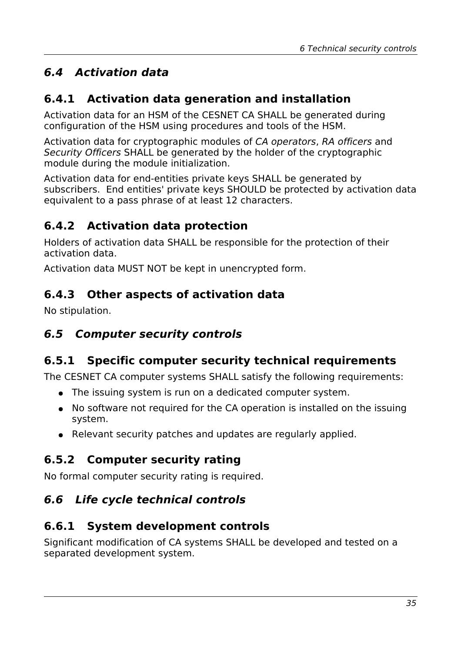# <span id="page-34-1"></span>**6.4 Activation data**

### <span id="page-34-0"></span>**6.4.1 Activation data generation and installation**

Activation data for an HSM of the CESNET CA SHALL be generated during configuration of the HSM using procedures and tools of the HSM.

Activation data for cryptographic modules of CA operators, RA officers and Security Officers SHALL be generated by the holder of the cryptographic module during the module initialization.

Activation data for end-entities private keys SHALL be generated by subscribers. End entities' private keys SHOULD be protected by activation data equivalent to a pass phrase of at least 12 characters.

## <span id="page-34-8"></span>**6.4.2 Activation data protection**

Holders of activation data SHALL be responsible for the protection of their activation data.

Activation data MUST NOT be kept in unencrypted form.

### <span id="page-34-7"></span>**6.4.3 Other aspects of activation data**

No stipulation.

### <span id="page-34-6"></span>**6.5 Computer security controls**

## <span id="page-34-5"></span>**6.5.1 Specific computer security technical requirements**

The CESNET CA computer systems SHALL satisfy the following requirements:

- The issuing system is run on a dedicated computer system.
- No software not required for the CA operation is installed on the issuing system.
- <span id="page-34-4"></span>• Relevant security patches and updates are regularly applied.

### **6.5.2 Computer security rating**

No formal computer security rating is required.

## <span id="page-34-3"></span>**6.6 Life cycle technical controls**

### <span id="page-34-2"></span>**6.6.1 System development controls**

Significant modification of CA systems SHALL be developed and tested on a separated development system.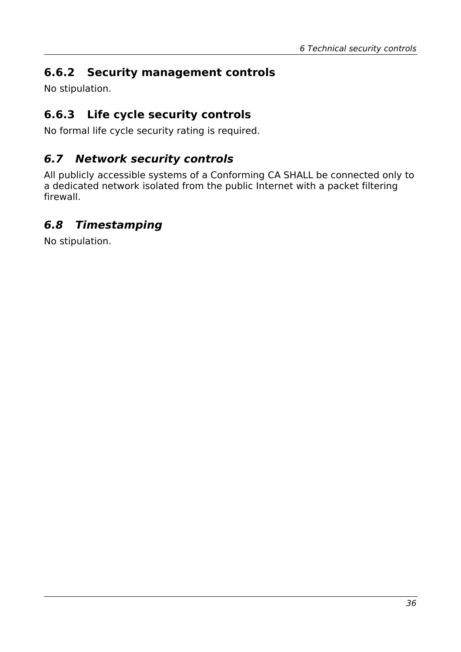## <span id="page-35-3"></span>**6.6.2 Security management controls**

No stipulation.

### <span id="page-35-2"></span>**6.6.3 Life cycle security controls**

No formal life cycle security rating is required.

### <span id="page-35-1"></span>**6.7 Network security controls**

All publicly accessible systems of a Conforming CA SHALL be connected only to a dedicated network isolated from the public Internet with a packet filtering firewall.

### <span id="page-35-0"></span>**6.8 Timestamping**

No stipulation.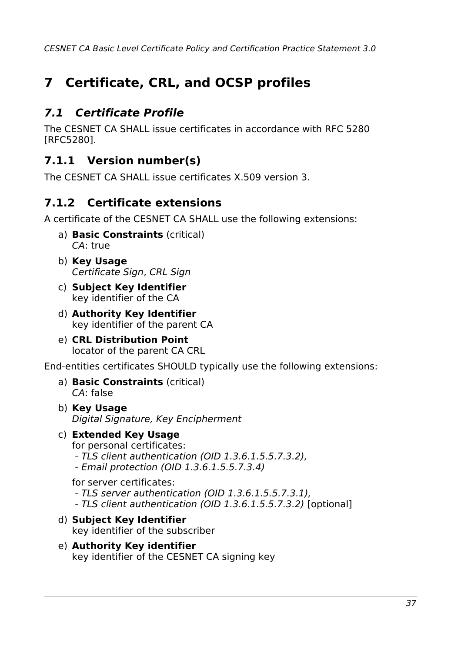# <span id="page-36-3"></span>**7 Certificate, CRL, and OCSP profiles**

## <span id="page-36-2"></span>**7.1 Certificate Profile**

The CESNET CA SHALL issue certificates in accordance with RFC 5280 [RFC5280].

### <span id="page-36-1"></span>**7.1.1 Version number(s)**

The CESNET CA SHALL issue certificates X.509 version 3.

### <span id="page-36-0"></span>**7.1.2 Certificate extensions**

A certificate of the CESNET CA SHALL use the following extensions:

- a) **Basic Constraints** (critical) CA: true
- b) **Key Usage** Certificate Sign, CRL Sign
- c) **Subject Key Identifier** key identifier of the CA
- d) **Authority Key Identifier** key identifier of the parent CA
- e) **CRL Distribution Point** locator of the parent CA CRL

End-entities certificates SHOULD typically use the following extensions:

- a) **Basic Constraints** (critical) CA: false
- b) **Key Usage** Digital Signature, Key Encipherment
- c) **Extended Key Usage** for personal certificates:
	- TLS client authentication (OID 1.3.6.1.5.5.7.3.2),
	- Email protection (OID 1.3.6.1.5.5.7.3.4)

for server certificates:

- TLS server authentication (OID 1.3.6.1.5.5.7.3.1),
- TLS client authentication (OID 1.3.6.1.5.5.7.3.2) [optional]
- d) **Subject Key Identifier** key identifier of the subscriber
- e) **Authority Key identifier** key identifier of the CESNET CA signing key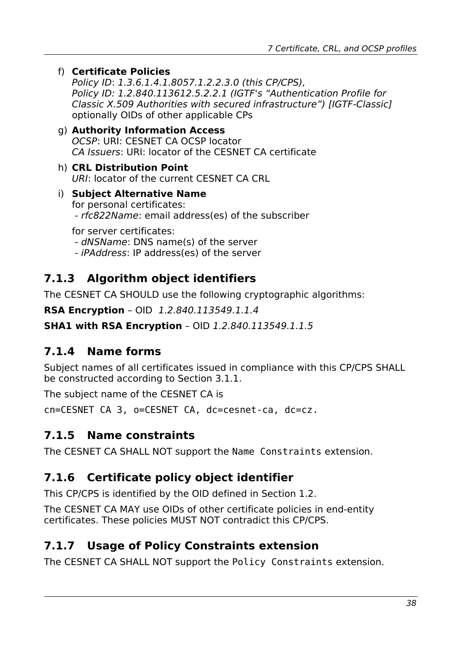f) **Certificate Policies**

Policy ID: 1.3.6.1.4.1.8057.1.2.2.3.0 (this CP/CPS), Policy ID: 1.2.840.113612.5.2.2.1 (IGTF's "Authentication Profile for Classic X.509 Authorities with secured infrastructure") [IGTF-Classic] optionally OIDs of other applicable CPs

- g) **Authority Information Access** OCSP: URI: CESNET CA OCSP locator CA Issuers: URI: locator of the CESNET CA certificate
- h) **CRL Distribution Point** URI: locator of the current CESNET CA CRL
- i) **Subject Alternative Name** for personal certificates: - rfc822Name: email address(es) of the subscriber

for server certificates: - dNSName: DNS name(s) of the server - iPAddress: IP address(es) of the server

#### <span id="page-37-4"></span>**7.1.3 Algorithm object identifiers**

The CESNET CA SHOULD use the following cryptographic algorithms:

**RSA Encryption** – OID 1.2.840.113549.1.1.4

**SHA1 with RSA Encryption** – OID 1.2.840.113549.1.1.5

#### <span id="page-37-3"></span>**7.1.4 Name forms**

Subject names of all certificates issued in compliance with this CP/CPS SHALL be constructed according to Section [3.1.1.](#page-12-0)

The subject name of the CESNET CA is

cn=CESNET CA 3, o=CESNET CA, dc=cesnet-ca, dc=cz.

#### <span id="page-37-2"></span>**7.1.5 Name constraints**

The CESNET CA SHALL NOT support the Name Constraints extension.

#### <span id="page-37-1"></span>**7.1.6 Certificate policy object identifier**

This CP/CPS is identified by the OID defined in Section [1.2.](#page-7-0)

The CESNET CA MAY use OIDs of other certificate policies in end-entity certificates. These policies MUST NOT contradict this CP/CPS.

#### <span id="page-37-0"></span>**7.1.7 Usage of Policy Constraints extension**

The CESNET CA SHALL NOT support the Policy Constraints extension.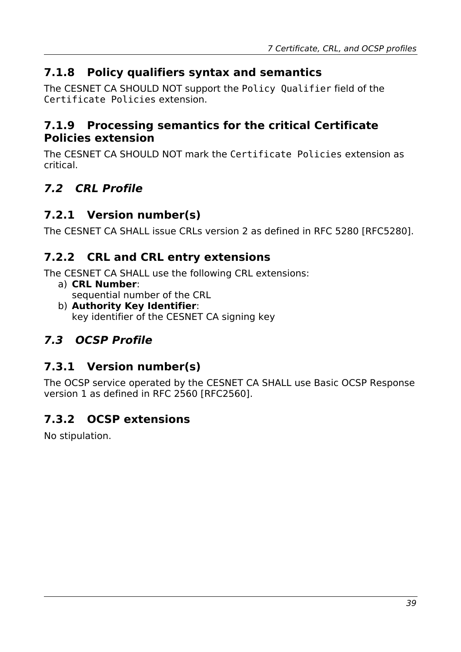### <span id="page-38-7"></span>**7.1.8 Policy qualifiers syntax and semantics**

The CESNET CA SHOULD NOT support the Policy Qualifier field of the Certificate Policies extension.

#### <span id="page-38-6"></span>**7.1.9 Processing semantics for the critical Certificate Policies extension**

The CESNET CA SHOULD NOT mark the Certificate Policies extension as critical.

## <span id="page-38-5"></span>**7.2 CRL Profile**

### <span id="page-38-4"></span>**7.2.1 Version number(s)**

The CESNET CA SHALL issue CRLs version 2 as defined in RFC 5280 [RFC5280].

#### **7.2.2 CRL and CRL entry extensions**

The CESNET CA SHALL use the following CRL extensions:

- <span id="page-38-3"></span>a) **CRL Number**: sequential number of the CRL
- b) **Authority Key Identifier**: key identifier of the CESNET CA signing key

## <span id="page-38-2"></span>**7.3 OCSP Profile**

### <span id="page-38-1"></span>**7.3.1 Version number(s)**

The OCSP service operated by the CESNET CA SHALL use Basic OCSP Response version 1 as defined in RFC 2560 [RFC2560].

## <span id="page-38-0"></span>**7.3.2 OCSP extensions**

No stipulation.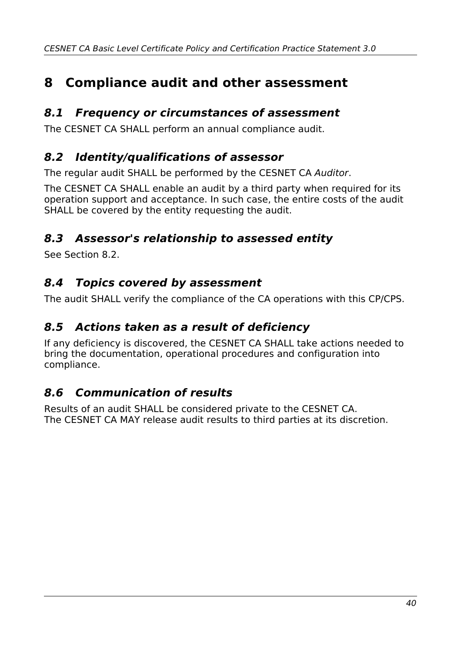# <span id="page-39-6"></span>**8 Compliance audit and other assessment**

#### <span id="page-39-5"></span>**8.1 Frequency or circumstances of assessment**

The CESNET CA SHALL perform an annual compliance audit.

#### <span id="page-39-4"></span>**8.2 Identity/qualifications of assessor**

The regular audit SHALL be performed by the CESNET CA Auditor.

The CESNET CA SHALL enable an audit by a third party when required for its operation support and acceptance. In such case, the entire costs of the audit SHALL be covered by the entity requesting the audit.

### <span id="page-39-3"></span>**8.3 Assessor's relationship to assessed entity**

See Section [8.2.](#page-39-4)

#### <span id="page-39-2"></span>**8.4 Topics covered by assessment**

The audit SHALL verify the compliance of the CA operations with this CP/CPS.

#### <span id="page-39-1"></span>**8.5 Actions taken as a result of deficiency**

If any deficiency is discovered, the CESNET CA SHALL take actions needed to bring the documentation, operational procedures and configuration into compliance.

#### <span id="page-39-0"></span>**8.6 Communication of results**

Results of an audit SHALL be considered private to the CESNET CA. The CESNET CA MAY release audit results to third parties at its discretion.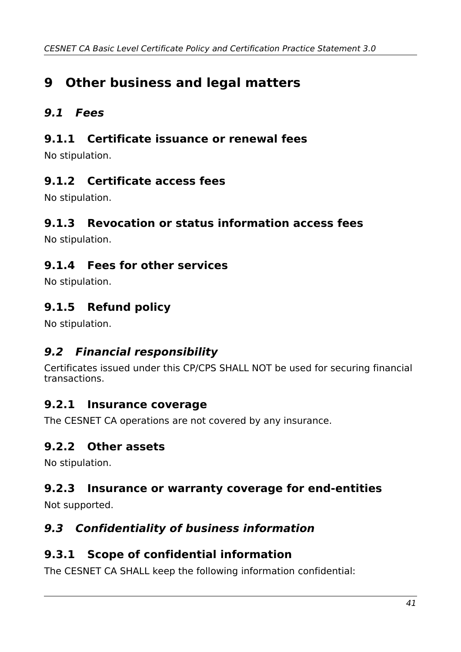# <span id="page-40-11"></span>**9 Other business and legal matters**

### <span id="page-40-10"></span>**9.1 Fees**

#### <span id="page-40-9"></span>**9.1.1 Certificate issuance or renewal fees**

No stipulation.

#### <span id="page-40-8"></span>**9.1.2 Certificate access fees**

No stipulation.

#### <span id="page-40-7"></span>**9.1.3 Revocation or status information access fees**

No stipulation.

#### <span id="page-40-6"></span>**9.1.4 Fees for other services**

No stipulation.

### <span id="page-40-5"></span>**9.1.5 Refund policy**

No stipulation.

#### <span id="page-40-4"></span>**9.2 Financial responsibility**

Certificates issued under this CP/CPS SHALL NOT be used for securing financial transactions.

#### <span id="page-40-3"></span>**9.2.1 Insurance coverage**

The CESNET CA operations are not covered by any insurance.

#### <span id="page-40-2"></span>**9.2.2 Other assets**

No stipulation.

#### <span id="page-40-1"></span>**9.2.3 Insurance or warranty coverage for end-entities**

Not supported.

#### <span id="page-40-0"></span>**9.3 Confidentiality of business information**

#### <span id="page-40-12"></span>**9.3.1 Scope of confidential information**

The CESNET CA SHALL keep the following information confidential: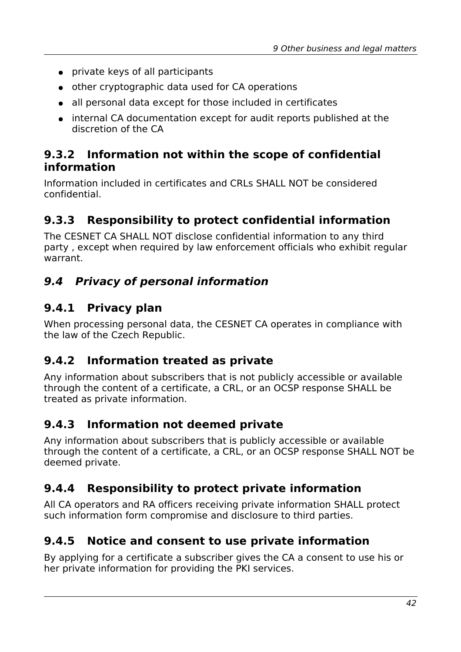- private keys of all participants
- other cryptographic data used for CA operations
- all personal data except for those included in certificates
- internal CA documentation except for audit reports published at the discretion of the CA

#### <span id="page-41-7"></span>**9.3.2 Information not within the scope of confidential information**

Information included in certificates and CRLs SHALL NOT be considered confidential.

### <span id="page-41-6"></span>**9.3.3 Responsibility to protect confidential information**

The CESNET CA SHALL NOT disclose confidential information to any third party , except when required by law enforcement officials who exhibit regular warrant.

### <span id="page-41-5"></span>**9.4 Privacy of personal information**

#### <span id="page-41-4"></span>**9.4.1 Privacy plan**

When processing personal data, the CESNET CA operates in compliance with the law of the Czech Republic.

#### <span id="page-41-3"></span>**9.4.2 Information treated as private**

Any information about subscribers that is not publicly accessible or available through the content of a certificate, a CRL, or an OCSP response SHALL be treated as private information.

#### <span id="page-41-2"></span>**9.4.3 Information not deemed private**

Any information about subscribers that is publicly accessible or available through the content of a certificate, a CRL, or an OCSP response SHALL NOT be deemed private.

### <span id="page-41-1"></span>**9.4.4 Responsibility to protect private information**

All CA operators and RA officers receiving private information SHALL protect such information form compromise and disclosure to third parties.

### <span id="page-41-0"></span>**9.4.5 Notice and consent to use private information**

By applying for a certificate a subscriber gives the CA a consent to use his or her private information for providing the PKI services.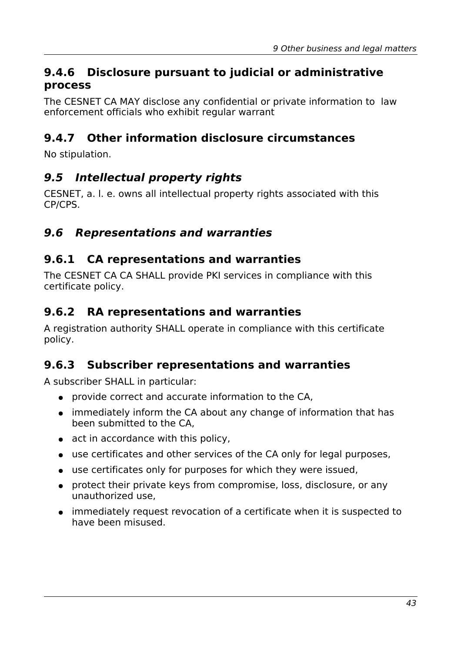#### <span id="page-42-6"></span>**9.4.6 Disclosure pursuant to judicial or administrative process**

The CESNET CA MAY disclose any confidential or private information to law enforcement officials who exhibit regular warrant

### <span id="page-42-5"></span>**9.4.7 Other information disclosure circumstances**

No stipulation.

#### <span id="page-42-4"></span>**9.5 Intellectual property rights**

CESNET, a. l. e. owns all intellectual property rights associated with this CP/CPS.

#### <span id="page-42-3"></span>**9.6 Representations and warranties**

#### <span id="page-42-2"></span>**9.6.1 CA representations and warranties**

The CESNET CA CA SHALL provide PKI services in compliance with this certificate policy.

#### <span id="page-42-1"></span>**9.6.2 RA representations and warranties**

A registration authority SHALL operate in compliance with this certificate policy.

#### <span id="page-42-0"></span>**9.6.3 Subscriber representations and warranties**

A subscriber SHALL in particular:

- provide correct and accurate information to the CA,
- immediately inform the CA about any change of information that has been submitted to the CA,
- act in accordance with this policy.
- use certificates and other services of the CA only for legal purposes,
- use certificates only for purposes for which they were issued,
- protect their private keys from compromise, loss, disclosure, or any unauthorized use,
- immediately request revocation of a certificate when it is suspected to have been misused.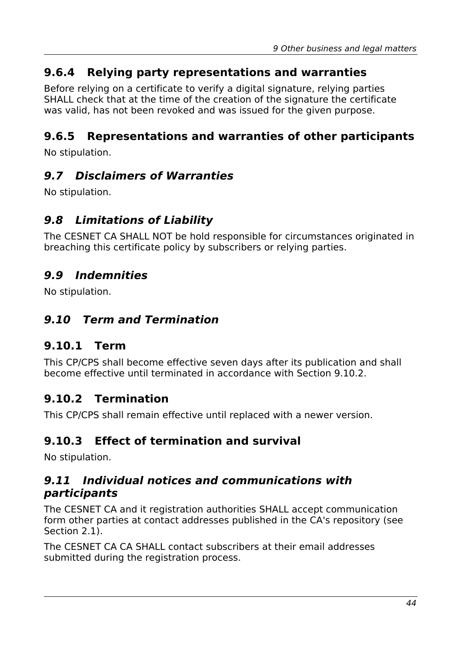#### <span id="page-43-9"></span>**9.6.4 Relying party representations and warranties**

Before relying on a certificate to verify a digital signature, relying parties SHALL check that at the time of the creation of the signature the certificate was valid, has not been revoked and was issued for the given purpose.

#### <span id="page-43-8"></span>**9.6.5 Representations and warranties of other participants**

No stipulation.

#### <span id="page-43-7"></span>**9.7 Disclaimers of Warranties**

No stipulation.

#### <span id="page-43-6"></span>**9.8 Limitations of Liability**

The CESNET CA SHALL NOT be hold responsible for circumstances originated in breaching this certificate policy by subscribers or relying parties.

#### <span id="page-43-5"></span>**9.9 Indemnities**

No stipulation.

#### <span id="page-43-4"></span>**9.10 Term and Termination**

#### <span id="page-43-3"></span>**9.10.1 Term**

This CP/CPS shall become effective seven days after its publication and shall become effective until terminated in accordance with Section [9.10.2.](#page-43-2)

#### <span id="page-43-2"></span>**9.10.2 Termination**

This CP/CPS shall remain effective until replaced with a newer version.

#### <span id="page-43-1"></span>**9.10.3 Effect of termination and survival**

No stipulation.

#### <span id="page-43-0"></span>**9.11 Individual notices and communications with participants**

The CESNET CA and it registration authorities SHALL accept communication form other parties at contact addresses published in the CA's repository (see Section [2.1\)](#page-11-3).

The CESNET CA CA SHALL contact subscribers at their email addresses submitted during the registration process.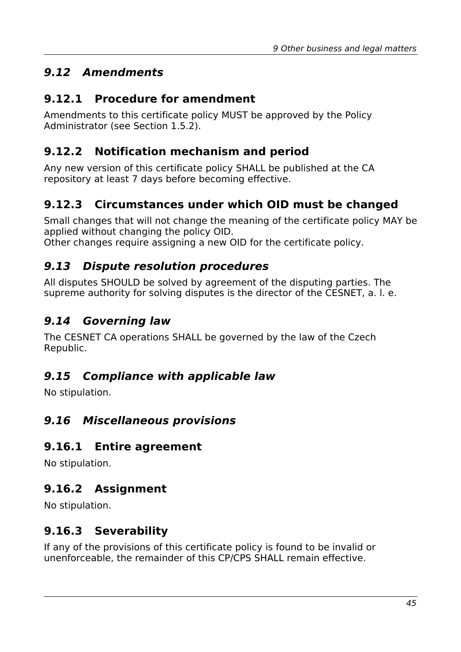## <span id="page-44-10"></span>**9.12 Amendments**

### <span id="page-44-9"></span>**9.12.1 Procedure for amendment**

Amendments to this certificate policy MUST be approved by the Policy Administrator (see Section [1.5.2\)](#page-9-3).

### <span id="page-44-8"></span>**9.12.2 Notification mechanism and period**

Any new version of this certificate policy SHALL be published at the CA repository at least 7 days before becoming effective.

## <span id="page-44-7"></span>**9.12.3 Circumstances under which OID must be changed**

Small changes that will not change the meaning of the certificate policy MAY be applied without changing the policy OID.

Other changes require assigning a new OID for the certificate policy.

### <span id="page-44-6"></span>**9.13 Dispute resolution procedures**

All disputes SHOULD be solved by agreement of the disputing parties. The supreme authority for solving disputes is the director of the CESNET, a. l. e.

## <span id="page-44-5"></span>**9.14 Governing law**

The CESNET CA operations SHALL be governed by the law of the Czech Republic.

### <span id="page-44-4"></span>**9.15 Compliance with applicable law**

No stipulation.

### <span id="page-44-3"></span>**9.16 Miscellaneous provisions**

#### <span id="page-44-2"></span>**9.16.1 Entire agreement**

No stipulation.

### <span id="page-44-1"></span>**9.16.2 Assignment**

No stipulation.

### <span id="page-44-0"></span>**9.16.3 Severability**

If any of the provisions of this certificate policy is found to be invalid or unenforceable, the remainder of this CP/CPS SHALL remain effective.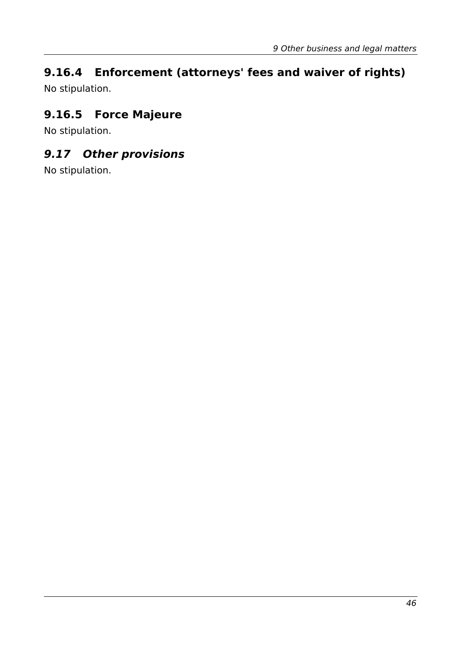# <span id="page-45-2"></span>**9.16.4 Enforcement (attorneys' fees and waiver of rights)**

No stipulation.

# <span id="page-45-1"></span>**9.16.5 Force Majeure**

No stipulation.

## <span id="page-45-0"></span>**9.17 Other provisions**

No stipulation.